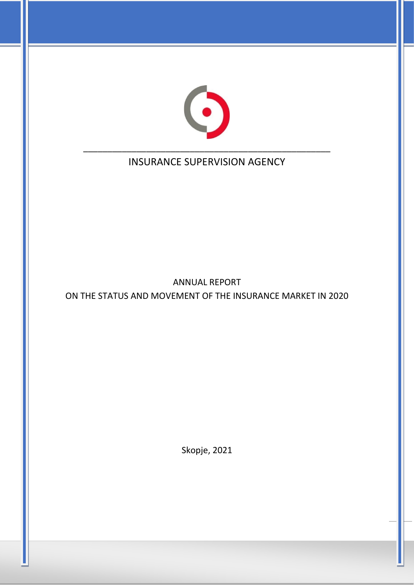

# INSURANCE SUPERVISION AGENCY

ANNUAL REPORT ON THE STATUS AND MOVEMENT OF THE INSURANCE MARKET IN 2020

Skopje, 2021

1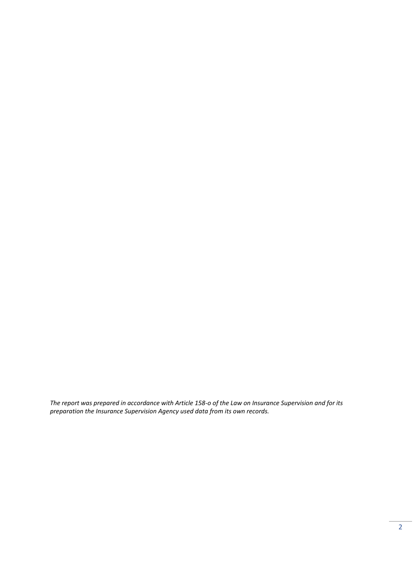*The report was prepared in accordance with Article 158-o of the Law on Insurance Supervision and for its preparation the Insurance Supervision Agency used data from its own records.*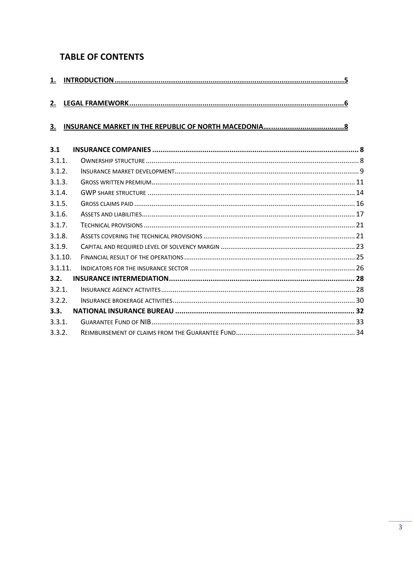## **TABLE OF CONTENTS**

| 2.        |  |
|-----------|--|
| <u>3.</u> |  |
| 3.1       |  |
| 3.1.1.    |  |
| 3.1.2.    |  |
| 3.1.3.    |  |
| 3.1.4.    |  |
| 3.1.5.    |  |
| 3.1.6.    |  |
| 3.1.7.    |  |
| 3.1.8.    |  |
| 3.1.9.    |  |
| 3.1.10.   |  |
| 3.1.11.   |  |
| 3.2.      |  |
| 3.2.1.    |  |
| 3.2.2.    |  |
| 3.3.      |  |
| 3.3.1.    |  |
| 3.3.2.    |  |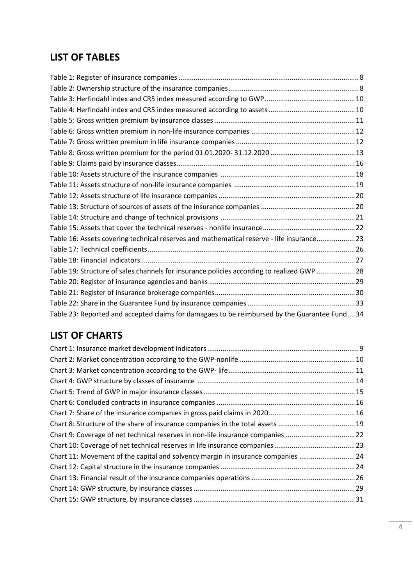## **LIST OF TABLES**

| Table 16: Assets covering technical reserves and mathematical reserve - life insurance23      |  |
|-----------------------------------------------------------------------------------------------|--|
|                                                                                               |  |
|                                                                                               |  |
| Table 19: Structure of sales channels for insurance policies according to realized GWP 28     |  |
|                                                                                               |  |
|                                                                                               |  |
|                                                                                               |  |
| Table 23: Reported and accepted claims for damagaes to be reimbursed by the Guarantee Fund 34 |  |

# **LIST OF CHARTS**

| Chart 9: Coverage of net technical reserves in non-life insurance companies 22   |
|----------------------------------------------------------------------------------|
|                                                                                  |
| Chart 11: Movement of the capital and solvency margin in insurance companies  24 |
|                                                                                  |
|                                                                                  |
|                                                                                  |
|                                                                                  |
|                                                                                  |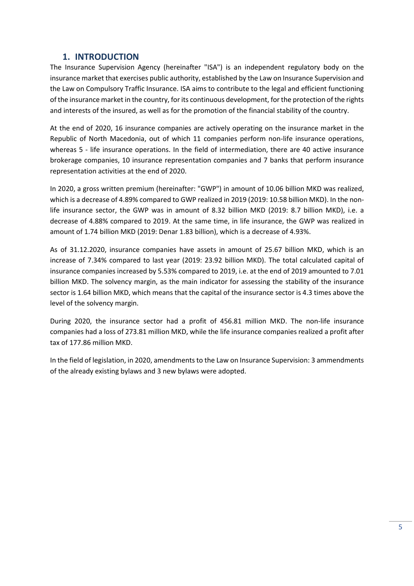## **1. INTRODUCTION**

<span id="page-4-0"></span>The Insurance Supervision Agency (hereinafter "ISA") is an independent regulatory body on the insurance market that exercises public authority, established by the Law on Insurance Supervision and the Law on Compulsory Traffic Insurance. ISA aims to contribute to the legal and efficient functioning of the insurance market in the country, for its continuous development, for the protection of the rights and interests of the insured, as well as for the promotion of the financial stability of the country.

At the end of 2020, 16 insurance companies are actively operating on the insurance market in the Republic of North Macedonia, out of which 11 companies perform non-life insurance operations, whereas 5 - life insurance operations. In the field of intermediation, there are 40 active insurance brokerage companies, 10 insurance representation companies and 7 banks that perform insurance representation activities at the end of 2020.

In 2020, a gross written premium (hereinafter: "GWP") in amount of 10.06 billion MKD was realized, which is a decrease of 4.89% compared to GWP realized in 2019 (2019: 10.58 billion MKD). In the nonlife insurance sector, the GWP was in amount of 8.32 billion MKD (2019: 8.7 billion MKD), i.e. a decrease of 4.88% compared to 2019. At the same time, in life insurance, the GWP was realized in amount of 1.74 billion MKD (2019: Denar 1.83 billion), which is a decrease of 4.93%.

As of 31.12.2020, insurance companies have assets in amount of 25.67 billion MKD, which is an increase of 7.34% compared to last year (2019: 23.92 billion MKD). The total calculated capital of insurance companies increased by 5.53% compared to 2019, i.e. at the end of 2019 amounted to 7.01 billion MKD. The solvency margin, as the main indicator for assessing the stability of the insurance sector is 1.64 billion MKD, which means that the capital of the insurance sector is 4.3 times above the level of the solvency margin.

During 2020, the insurance sector had a profit of 456.81 million MKD. The non-life insurance companies had a loss of 273.81 million MKD, while the life insurance companies realized a profit after tax of 177.86 million MKD.

In the field of legislation, in 2020, amendments to the Law on Insurance Supervision: 3 ammendments of the already existing bylaws and 3 new bylaws were adopted.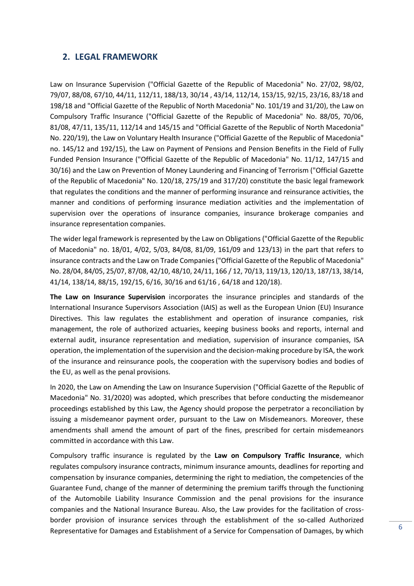#### <span id="page-5-0"></span>**2. LEGAL FRAMEWORK**

Law on Insurance Supervision ("Official Gazette of the Republic of Macedonia" No. 27/02, 98/02, 79/07, 88/08, 67/10, 44/11, 112/11, 188/13, 30/14 , 43/14, 112/14, 153/15, 92/15, 23/16, 83/18 and 198/18 and "Official Gazette of the Republic of North Macedonia" No. 101/19 and 31/20), the Law on Compulsory Traffic Insurance ("Official Gazette of the Republic of Macedonia" No. 88/05, 70/06, 81/08, 47/11, 135/11, 112/14 and 145/15 and "Official Gazette of the Republic of North Macedonia" No. 220/19), the Law on Voluntary Health Insurance ("Official Gazette of the Republic of Macedonia" no. 145/12 and 192/15), the Law on Payment of Pensions and Pension Benefits in the Field of Fully Funded Pension Insurance ("Official Gazette of the Republic of Macedonia" No. 11/12, 147/15 and 30/16) and the Law on Prevention of Money Laundering and Financing of Terrorism ("Official Gazette of the Republic of Macedonia" No. 120/18, 275/19 and 317/20) constitute the basic legal framework that regulates the conditions and the manner of performing insurance and reinsurance activities, the manner and conditions of performing insurance mediation activities and the implementation of supervision over the operations of insurance companies, insurance brokerage companies and insurance representation companies.

The wider legal framework is represented by the Law on Obligations ("Official Gazette of the Republic of Macedonia" no. 18/01, 4/02, 5/03, 84/08, 81/09, 161/09 and 123/13) in the part that refers to insurance contracts and the Law on Trade Companies ("Official Gazette of the Republic of Macedonia" No. 28/04, 84/05, 25/07, 87/08, 42/10, 48/10, 24/11, 166 / 12, 70/13, 119/13, 120/13, 187/13, 38/14, 41/14, 138/14, 88/15, 192/15, 6/16, 30/16 and 61/16 , 64/18 and 120/18).

**The Law on Insurance Supervision** incorporates the insurance principles and standards of the International Insurance Supervisors Association (IAIS) as well as the European Union (EU) Insurance Directives. This law regulates the establishment and operation of insurance companies, risk management, the role of authorized actuaries, keeping business books and reports, internal and external audit, insurance representation and mediation, supervision of insurance companies, ISA operation, the implementation of the supervision and the decision-making procedure by ISA, the work of the insurance and reinsurance pools, the cooperation with the supervisory bodies and bodies of the EU, as well as the penal provisions.

In 2020, the Law on Amending the Law on Insurance Supervision ("Official Gazette of the Republic of Macedonia" No. 31/2020) was adopted, which prescribes that before conducting the misdemeanor proceedings established by this Law, the Agency should propose the perpetrator a reconciliation by issuing a misdemeanor payment order, pursuant to the Law on Misdemeanors. Moreover, these amendments shall amend the amount of part of the fines, prescribed for certain misdemeanors committed in accordance with this Law.

Compulsory traffic insurance is regulated by the **Law on Compulsory Traffic Insurance**, which regulates compulsory insurance contracts, minimum insurance amounts, deadlines for reporting and compensation by insurance companies, determining the right to mediation, the competencies of the Guarantee Fund, change of the manner of determining the premium tariffs through the functioning of the Automobile Liability Insurance Commission and the penal provisions for the insurance companies and the National Insurance Bureau. Also, the Law provides for the facilitation of crossborder provision of insurance services through the establishment of the so-called Authorized Representative for Damages and Establishment of a Service for Compensation of Damages, by which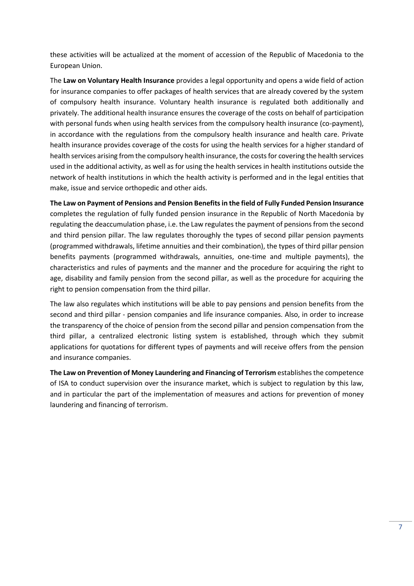these activities will be actualized at the moment of accession of the Republic of Macedonia to the European Union.

The **Law on Voluntary Health Insurance** provides a legal opportunity and opens a wide field of action for insurance companies to offer packages of health services that are already covered by the system of compulsory health insurance. Voluntary health insurance is regulated both additionally and privately. The additional health insurance ensures the coverage of the costs on behalf of participation with personal funds when using health services from the compulsory health insurance (co-payment), in accordance with the regulations from the compulsory health insurance and health care. Private health insurance provides coverage of the costs for using the health services for a higher standard of health services arising from the compulsory health insurance, the costs for covering the health services used in the additional activity, as well as for using the health services in health institutions outside the network of health institutions in which the health activity is performed and in the legal entities that make, issue and service orthopedic and other aids.

**The Law on Payment of Pensions and Pension Benefits in the field of Fully Funded Pension Insurance** completes the regulation of fully funded pension insurance in the Republic of North Macedonia by regulating the deaccumulation phase, i.e. the Law regulates the payment of pensions from the second and third pension pillar. The law regulates thoroughly the types of second pillar pension payments (programmed withdrawals, lifetime annuities and their combination), the types of third pillar pension benefits payments (programmed withdrawals, annuities, one-time and multiple payments), the characteristics and rules of payments and the manner and the procedure for acquiring the right to age, disability and family pension from the second pillar, as well as the procedure for acquiring the right to pension compensation from the third pillar.

The law also regulates which institutions will be able to pay pensions and pension benefits from the second and third pillar - pension companies and life insurance companies. Also, in order to increase the transparency of the choice of pension from the second pillar and pension compensation from the third pillar, a centralized electronic listing system is established, through which they submit applications for quotations for different types of payments and will receive offers from the pension and insurance companies.

**The Law on Prevention of Money Laundering and Financing of Terrorism** establishes the competence of ISA to conduct supervision over the insurance market, which is subject to regulation by this law, and in particular the part of the implementation of measures and actions for prevention of money laundering and financing of terrorism.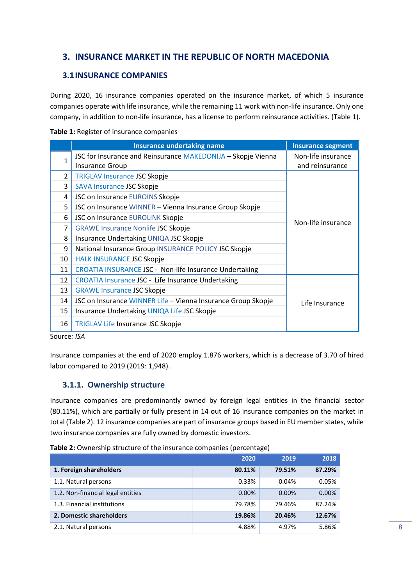## <span id="page-7-0"></span>**3. INSURANCE MARKET IN THE REPUBLIC OF NORTH MACEDONIA**

### <span id="page-7-1"></span>**3.1INSURANCE COMPANIES**

During 2020, 16 insurance companies operated on the insurance market, of which 5 insurance companies operate with life insurance, while the remaining 11 work with non-life insurance. Only one company, in addition to non-life insurance, has a license to perform reinsurance activities. (Table 1).

#### <span id="page-7-3"></span>**Table 1:** Register of insurance companies

|    | <b>Insurance undertaking name</b>                            | <b>Insurance segment</b> |
|----|--------------------------------------------------------------|--------------------------|
|    | JSC for Insurance and Reinsurance MAKEDONIJA - Skopje Vienna | Non-life insurance       |
|    | <b>Insurance Group</b>                                       | and reinsurance          |
| 2  | <b>TRIGLAV Insurance JSC Skopje</b>                          |                          |
| 3  | SAVA Insurance JSC Skopje                                    |                          |
| 4  | JSC on Insurance EUROINS Skopje                              |                          |
| 5  | JSC on Insurance WINNER - Vienna Insurance Group Skopje      |                          |
| 6  | JSC on Insurance EUROLINK Skopje                             | Non-life insurance       |
| 7  | <b>GRAWE Insurance Nonlife JSC Skopje</b>                    |                          |
| 8  | Insurance Undertaking UNIQA JSC Skopje                       |                          |
| 9  | National Insurance Group INSURANCE POLICY JSC Skopje         |                          |
| 10 | <b>HALK INSURANCE JSC Skopje</b>                             |                          |
| 11 | CROATIA INSURANCE JSC - Non-life Insurance Undertaking       |                          |
| 12 | CROATIA Insurance JSC - Life Insurance Undertaking           |                          |
| 13 | <b>GRAWE Insurance JSC Skopje</b>                            |                          |
| 14 | JSC on Insurance WINNER Life - Vienna Insurance Group Skopje | Life Insurance           |
| 15 | Insurance Undertaking UNIQA Life JSC Skopje                  |                          |
| 16 | <b>TRIGLAV Life Insurance JSC Skopje</b>                     |                          |

Source*: ISA*

Insurance companies at the end of 2020 employ 1.876 workers, which is a decrease of 3.70 of hired labor compared to 2019 (2019: 1,948).

### <span id="page-7-2"></span>**3.1.1. Ownership structure**

Insurance companies are predominantly owned by foreign legal entities in the financial sector (80.11%), which are partially or fully present in 14 out of 16 insurance companies on the market in total (Table 2). 12 insurance companies are part of insurance groups based in EU member states, while two insurance companies are fully owned by domestic investors.

<span id="page-7-4"></span>**Table 2:** Ownership structure of the insurance companies (percentage)

|                                   | 2020     | 2019   | 2018   |
|-----------------------------------|----------|--------|--------|
| 1. Foreign shareholders           | 80.11%   | 79.51% | 87.29% |
| 1.1. Natural persons              | 0.33%    | 0.04%  | 0.05%  |
| 1.2. Non-financial legal entities | $0.00\%$ | 0.00%  | 0.00%  |
| 1.3. Financial institutions       | 79.78%   | 79.46% | 87.24% |
| 2. Domestic shareholders          | 19.86%   | 20.46% | 12.67% |
| 2.1. Natural persons              | 4.88%    | 4.97%  | 5.86%  |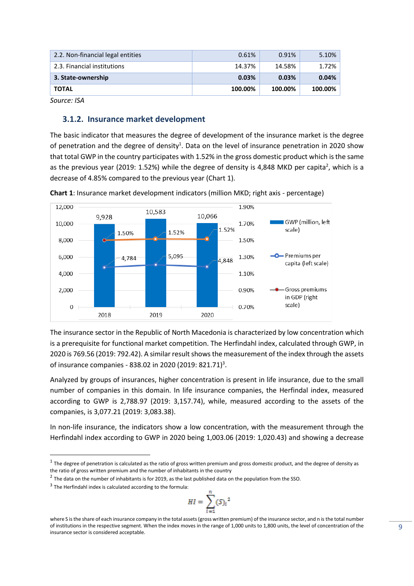| 2.2. Non-financial legal entities | 0.61%   | 0.91%   | 5.10%   |
|-----------------------------------|---------|---------|---------|
| 2.3. Financial institutions       | 14.37%  | 14.58%  | 1.72%   |
| 3. State-ownership                | 0.03%   | 0.03%   | 0.04%   |
| <b>TOTAL</b>                      | 100.00% | 100.00% | 100.00% |

#### <span id="page-8-0"></span>**3.1.2. Insurance market development**

The basic indicator that measures the degree of development of the insurance market is the degree of penetration and the degree of density<sup>1</sup>. Data on the level of insurance penetration in 2020 show that total GWP in the country participates with 1.52% in the gross domestic product which is the same as the previous year (2019: 1.52%) while the degree of density is 4,848 MKD per capita<sup>2</sup>, which is a decrease of 4.85% compared to the previous year (Chart 1).



<span id="page-8-1"></span>**Chart 1**: Insurance market development indicators (million MKD; right axis - percentage)

The insurance sector in the Republic of North Macedonia is characterized by low concentration which is a prerequisite for functional market competition. The Herfindahl index, calculated through GWP, in 2020 is 769.56 (2019: 792.42). A similar result shows the measurement of the index through the assets of insurance companies - 838.02 in 2020 (2019: 821.71)<sup>3</sup>.

Analyzed by groups of insurances, higher concentration is present in life insurance, due to the small number of companies in this domain. In life insurance companies, the Herfindal index, measured according to GWP is 2,788.97 (2019: 3,157.74), while, measured according to the assets of the companies, is 3,077.21 (2019: 3,083.38).

In non-life insurance, the indicators show a low concentration, with the measurement through the Herfindahl index according to GWP in 2020 being 1,003.06 (2019: 1,020.43) and showing a decrease

$$
HI = \sum_{i=1}^{n} (S_i)^2
$$

 $1$  The degree of penetration is calculated as the ratio of gross written premium and gross domestic product, and the degree of density as the ratio of gross written premium and the number of inhabitants in the country

 $^2$  The data on the number of inhabitants is for 2019, as the last published data on the population from the SSO.

<sup>&</sup>lt;sup>3</sup> The Herfindahl index is calculated according to the formula:

where S is the share of each insurance company in the total assets (gross written premium) of the insurance sector, and n is the total number of institutions in the respective segment. When the index moves in the range of 1,000 units to 1,800 units, the level of concentration of the insurance sector is considered acceptable.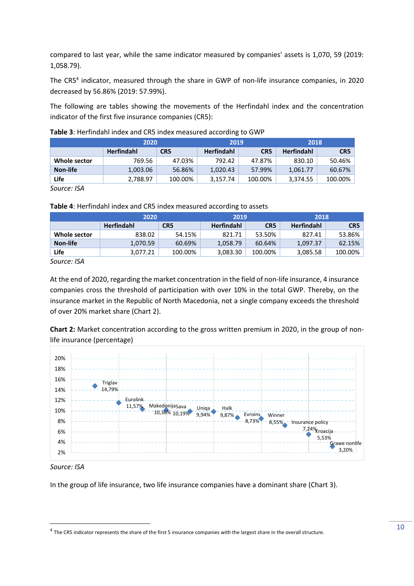compared to last year, while the same indicator measured by companies' assets is 1,070, 59 (2019: 1,058.79).

The CR5<sup>4</sup> indicator, measured through the share in GWP of non-life insurance companies, in 2020 decreased by 56.86% (2019: 57.99%).

The following are tables showing the movements of the Herfindahl index and the concentration indicator of the first five insurance companies (CR5):

|              | 2020              |                 | 2019              |                 | 2018              |                 |
|--------------|-------------------|-----------------|-------------------|-----------------|-------------------|-----------------|
|              | <b>Herfindahl</b> | CR <sub>5</sub> | <b>Herfindahl</b> | CR <sub>5</sub> | <b>Herfindahl</b> | CR <sub>5</sub> |
| Whole sector | 769.56            | 47.03%          | 792.42            | 47.87%          | 830.10            | 50.46%          |
| Non-life     | 1,003.06          | 56.86%          | 1,020.43          | 57.99%          | 1,061.77          | 60.67%          |
| Life         | 2,788.97          | 100.00%         | 3,157.74          | 100.00%         | 3,374.55          | 100.00%         |

<span id="page-9-0"></span>

*Source: ISA*

<span id="page-9-1"></span>**Table 4**: Herfindahl index and CR5 index measured according to assets

| 2020         |                   | 2019            |                   | 2018            |                   |                 |
|--------------|-------------------|-----------------|-------------------|-----------------|-------------------|-----------------|
|              | <b>Herfindahl</b> | CR <sub>5</sub> | <b>Herfindahl</b> | CR <sub>5</sub> | <b>Herfindahl</b> | CR <sub>5</sub> |
| Whole sector | 838.02            | 54.15%          | 821.71            | 53.50%          | 827.41            | 53.86%          |
| Non-life     | 1.070.59          | 60.69%          | 1,058.79          | 60.64%          | 1.097.37          | 62.15%          |
| Life         | 3,077.21          | 100.00%         | 3,083.30          | 100.00%         | 3,085.58          | 100.00%         |

*Source: ISA*

At the end of 2020, regarding the market concentration in the field of non-life insurance, 4 insurance companies cross the threshold of participation with over 10% in the total GWP. Thereby, on the insurance market in the Republic of North Macedonia, not a single company exceeds the threshold of over 20% market share (Chart 2).

<span id="page-9-2"></span>**Chart 2:** Market concentration according to the gross written premium in 2020, in the group of nonlife insurance (percentage)



#### *Source: ISA*

In the group of life insurance, two life insurance companies have a dominant share (Chart 3).

<sup>&</sup>lt;sup>4</sup> The CR5 indicator represents the share of the first 5 insurance companies with the largest share in the overall structure.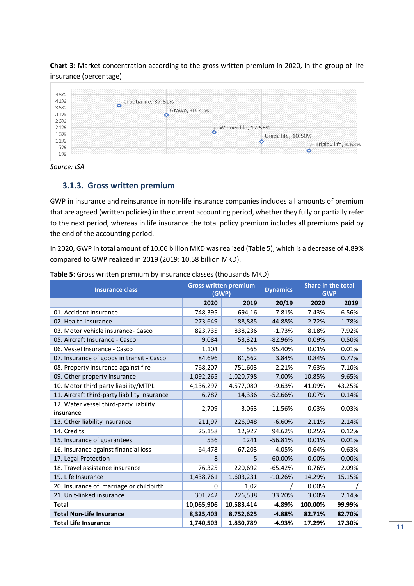<span id="page-10-2"></span>**Chart 3**: Market concentration according to the gross written premium in 2020, in the group of life insurance (percentage)

|            | Croatia life, 37.61%<br>∘ |                            |
|------------|---------------------------|----------------------------|
| 36%        | Grawe, 30.71%             |                            |
| 31%<br>26% | o                         |                            |
| 21%        | Winner life, 17.56%       |                            |
| 16%        | Uniqa life, 10.50%        |                            |
| 11%<br>6%  | O                         | $\sim$ Triglav life, 3.63% |

*Source: ISA*

#### <span id="page-10-0"></span>**3.1.3. Gross written premium**

GWP in insurance and reinsurance in non-life insurance companies includes all amounts of premium that are agreed (written policies) in the current accounting period, whether they fully or partially refer to the next period, whereas in life insurance the total policy premium includes all premiums paid by the end of the accounting period.

In 2020, GWP in total amount of 10.06 billion MKD was realized (Table 5), which is a decrease of 4.89% compared to GWP realized in 2019 (2019: 10.58 billion MKD).

| <b>Insurance class</b>                              | <b>Gross written premium</b><br>(GWP) |            | <b>Dynamics</b> |         | <b>Share in the total</b><br><b>GWP</b> |
|-----------------------------------------------------|---------------------------------------|------------|-----------------|---------|-----------------------------------------|
|                                                     | 2020                                  | 2019       | 20/19           | 2020    | 2019                                    |
| 01. Accident Insurance                              | 748,395                               | 694,16     | 7.81%           | 7.43%   | 6.56%                                   |
| 02. Health Insurance                                | 273,649                               | 188,885    | 44.88%          | 2.72%   | 1.78%                                   |
| 03. Motor vehicle insurance- Casco                  | 823,735                               | 838,236    | $-1.73%$        | 8.18%   | 7.92%                                   |
| 05. Aircraft Insurance - Casco                      | 9,084                                 | 53,321     | $-82.96%$       | 0.09%   | 0.50%                                   |
| 06. Vessel Insurance - Casco                        | 1,104                                 | 565        | 95.40%          | 0.01%   | 0.01%                                   |
| 07. Insurance of goods in transit - Casco           | 84,696                                | 81,562     | 3.84%           | 0.84%   | 0.77%                                   |
| 08. Property insurance against fire                 | 768,207                               | 751,603    | 2.21%           | 7.63%   | 7.10%                                   |
| 09. Other property insurance                        | 1,092,265                             | 1,020,798  | 7.00%           | 10.85%  | 9.65%                                   |
| 10. Motor third party liability/MTPL                | 4,136,297                             | 4,577,080  | $-9.63%$        | 41.09%  | 43.25%                                  |
| 11. Aircraft third-party liability insurance        | 6,787                                 | 14,336     | $-52.66%$       | 0.07%   | 0.14%                                   |
| 12. Water vessel third-party liability<br>insurance | 2,709                                 | 3,063      | $-11.56%$       | 0.03%   | 0.03%                                   |
| 13. Other liability insurance                       | 211,97                                | 226,948    | $-6.60%$        | 2.11%   | 2.14%                                   |
| 14. Credits                                         | 25,158                                | 12,927     | 94.62%          | 0.25%   | 0.12%                                   |
| 15. Insurance of guarantees                         | 536                                   | 1241       | $-56.81%$       | 0.01%   | 0.01%                                   |
| 16. Insurance against financial loss                | 64,478                                | 67,203     | $-4.05%$        | 0.64%   | 0.63%                                   |
| 17. Legal Protection                                | 8                                     | 5          | 60.00%          | 0.00%   | 0.00%                                   |
| 18. Travel assistance insurance                     | 76,325                                | 220,692    | $-65.42%$       | 0.76%   | 2.09%                                   |
| 19. Life Insurance                                  | 1,438,761                             | 1,603,231  | $-10.26%$       | 14.29%  | 15.15%                                  |
| 20. Insurance of marriage or childbirth             | 0                                     | 1,02       |                 | 0.00%   |                                         |
| 21. Unit-linked insurance                           | 301,742                               | 226,538    | 33.20%          | 3.00%   | 2.14%                                   |
| <b>Total</b>                                        | 10,065,906                            | 10,583,414 | $-4.89%$        | 100.00% | 99.99%                                  |
| <b>Total Non-Life Insurance</b>                     | 8,325,403                             | 8,752,625  | $-4.88%$        | 82.71%  | 82.70%                                  |
| <b>Total Life Insurance</b>                         | 1,740,503                             | 1,830,789  | $-4.93%$        | 17.29%  | 17.30%                                  |

<span id="page-10-1"></span>**Table 5**: Gross written premium by insurance classes (thousands MKD)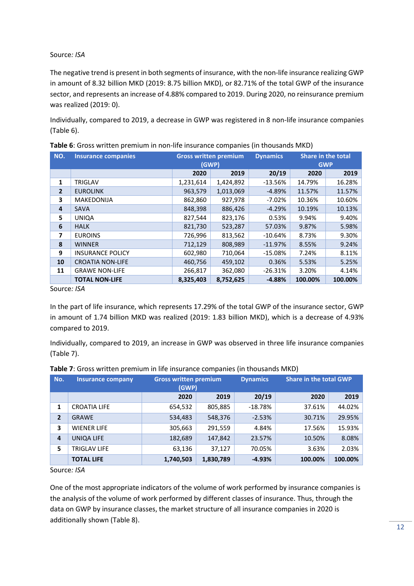The negative trend is present in both segments of insurance, with the non-life insurance realizing GWP in amount of 8.32 billion MKD (2019: 8.75 billion MKD), or 82.71% of the total GWP of the insurance sector, and represents an increase of 4.88% compared to 2019. During 2020, no reinsurance premium was realized (2019: 0).

Individually, compared to 2019, a decrease in GWP was registered in 8 non-life insurance companies (Table 6).

|                | <b>Gross written premium</b><br><b>Dynamics</b> |           |           |           |                           |            |  |
|----------------|-------------------------------------------------|-----------|-----------|-----------|---------------------------|------------|--|
| NO.            | <b>Insurance companies</b>                      |           |           |           | <b>Share in the total</b> |            |  |
|                |                                                 |           | (GWP)     |           |                           | <b>GWP</b> |  |
|                |                                                 | 2020      | 2019      | 20/19     | 2020                      | 2019       |  |
| 1              | <b>TRIGLAV</b>                                  | 1,231,614 | 1,424,892 | $-13.56%$ | 14.79%                    | 16.28%     |  |
| $\overline{2}$ | <b>EUROLINK</b>                                 | 963,579   | 1,013,069 | $-4.89%$  | 11.57%                    | 11.57%     |  |
| 3              | <b>MAKEDONIJA</b>                               | 862,860   | 927,978   | $-7.02%$  | 10.36%                    | 10.60%     |  |
| 4              | <b>SAVA</b>                                     | 848,398   | 886,426   | $-4.29%$  | 10.19%                    | 10.13%     |  |
| 5              | <b>UNIQA</b>                                    | 827,544   | 823,176   | 0.53%     | 9.94%                     | 9.40%      |  |
| 6              | <b>HALK</b>                                     | 821,730   | 523,287   | 57.03%    | 9.87%                     | 5.98%      |  |
| $\overline{ }$ | <b>EUROINS</b>                                  | 726,996   | 813,562   | $-10.64%$ | 8.73%                     | 9.30%      |  |
| 8              | <b>WINNER</b>                                   | 712,129   | 808,989   | $-11.97%$ | 8.55%                     | 9.24%      |  |
| 9              | <b>INSURANCE POLICY</b>                         | 602,980   | 710,064   | $-15.08%$ | 7.24%                     | 8.11%      |  |
| 10             | <b>CROATIA NON-LIFE</b>                         | 460,756   | 459,102   | 0.36%     | 5.53%                     | 5.25%      |  |
| 11             | <b>GRAWE NON-LIFE</b>                           | 266,817   | 362,080   | $-26.31%$ | 3.20%                     | 4.14%      |  |
|                | <b>TOTAL NON-LIFE</b>                           | 8,325,403 | 8,752,625 | $-4.88%$  | 100.00%                   | 100.00%    |  |

<span id="page-11-0"></span>

|  |  |  |  |  | Table 6: Gross written premium in non-life insurance companies (in thousands MKD) |
|--|--|--|--|--|-----------------------------------------------------------------------------------|
|--|--|--|--|--|-----------------------------------------------------------------------------------|

Source*: ISA*

In the part of life insurance, which represents 17.29% of the total GWP of the insurance sector, GWP in amount of 1.74 billion MKD was realized (2019: 1.83 billion MKD), which is a decrease of 4.93% compared to 2019.

Individually, compared to 2019, an increase in GWP was observed in three life insurance companies (Table 7).

| No.            | <b>Insurance company</b> | <b>Gross written premium</b><br>(GWP) |           | <b>Dynamics</b> | <b>Share in the total GWP</b> |         |
|----------------|--------------------------|---------------------------------------|-----------|-----------------|-------------------------------|---------|
|                |                          | 2020                                  | 2019      | 20/19           | 2020                          | 2019    |
| 1              | <b>CROATIA LIFE</b>      | 654,532                               | 805,885   | $-18.78%$       | 37.61%                        | 44.02%  |
| $\overline{2}$ | <b>GRAWE</b>             | 534,483                               | 548,376   | $-2.53%$        | 30.71%                        | 29.95%  |
| 3              | <b>WIENER LIFE</b>       | 305,663                               | 291,559   | 4.84%           | 17.56%                        | 15.93%  |
| 4              | UNIQA LIFE               | 182,689                               | 147,842   | 23.57%          | 10.50%                        | 8.08%   |
| 5              | TRIGLAV LIFE             | 63,136                                | 37,127    | 70.05%          | 3.63%                         | 2.03%   |
|                | <b>TOTAL LIFE</b>        | 1,740,503                             | 1,830,789 | $-4.93%$        | 100.00%                       | 100.00% |

#### <span id="page-11-1"></span>**Table 7**: Gross written premium in life insurance companies (in thousands MKD)

Source*: ISA*

One of the most appropriate indicators of the volume of work performed by insurance companies is the analysis of the volume of work performed by different classes of insurance. Thus, through the data on GWP by insurance classes, the market structure of all insurance companies in 2020 is additionally shown (Table 8).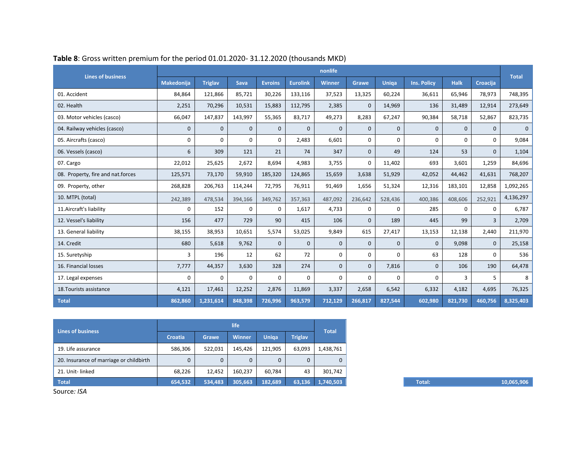| <b>Lines of business</b>          |                   |                |              |                |                 | nonlife      |              |              |                    |              |              |              |
|-----------------------------------|-------------------|----------------|--------------|----------------|-----------------|--------------|--------------|--------------|--------------------|--------------|--------------|--------------|
|                                   | <b>Makedonija</b> | <b>Triglav</b> | <b>Sava</b>  | <b>Evroins</b> | <b>Eurolink</b> | Winner       | <b>Grawe</b> | <b>Uniga</b> | <b>Ins. Policy</b> | <b>Halk</b>  | Croacija     | <b>Total</b> |
| 01. Accident                      | 84,864            | 121,866        | 85,721       | 30,226         | 133,116         | 37,523       | 13,325       | 60,224       | 36,611             | 65,946       | 78,973       | 748,395      |
| 02. Health                        | 2,251             | 70,296         | 10,531       | 15,883         | 112,795         | 2,385        | $\mathbf{0}$ | 14,969       | 136                | 31,489       | 12,914       | 273,649      |
| 03. Motor vehicles (casco)        | 66,047            | 147,837        | 143,997      | 55,365         | 83,717          | 49,273       | 8,283        | 67,247       | 90,384             | 58,718       | 52,867       | 823,735      |
| 04. Railway vehicles (casco)      | $\mathbf 0$       | $\mathbf{0}$   | $\mathbf{0}$ | $\mathbf{0}$   | $\mathbf{0}$    | $\mathbf{0}$ | $\mathbf{0}$ | $\mathbf{0}$ | $\mathbf{0}$       | $\mathbf{0}$ | $\mathbf{0}$ | $\mathbf{0}$ |
| 05. Aircrafts (casco)             | 0                 | 0              | 0            | $\Omega$       | 2,483           | 6,601        | 0            | 0            | 0                  | 0            | $\Omega$     | 9,084        |
| 06. Vessels (casco)               | 6                 | 309            | 121          | 21             | 74              | 347          | $\mathbf{0}$ | 49           | 124                | 53           | $\Omega$     | 1,104        |
| 07. Cargo                         | 22,012            | 25,625         | 2,672        | 8,694          | 4,983           | 3,755        | $\mathbf 0$  | 11,402       | 693                | 3,601        | 1,259        | 84,696       |
| 08. Property, fire and nat.forces | 125,571           | 73,170         | 59,910       | 185,320        | 124,865         | 15,659       | 3,638        | 51,929       | 42,052             | 44,462       | 41,631       | 768,207      |
| 09. Property, other               | 268,828           | 206,763        | 114,244      | 72,795         | 76,911          | 91,469       | 1,656        | 51,324       | 12,316             | 183,101      | 12,858       | 1,092,265    |
| 10. MTPL (total)                  | 242,389           | 478,534        | 394,166      | 349,762        | 357,363         | 487,092      | 236,642      | 528,436      | 400,386            | 408,606      | 252,921      | 4,136,297    |
| 11. Aircraft's liability          | $\Omega$          | 152            | $\Omega$     | $\Omega$       | 1,617           | 4,733        | $\Omega$     | $\Omega$     | 285                | 0            | $\Omega$     | 6,787        |
| 12. Vessel's liability            | 156               | 477            | 729          | 90             | 415             | 106          | $\mathbf{0}$ | 189          | 445                | 99           | 3            | 2,709        |
| 13. General liability             | 38,155            | 38,953         | 10,651       | 5,574          | 53,025          | 9,849        | 615          | 27,417       | 13,153             | 12,138       | 2,440        | 211,970      |
| 14. Credit                        | 680               | 5,618          | 9,762        | $\mathbf{0}$   | $\mathbf{0}$    | $\mathbf{0}$ | $\mathbf{0}$ | $\mathbf{0}$ | $\Omega$           | 9,098        | $\mathbf{0}$ | 25,158       |
| 15. Suretyship                    | 3                 | 196            | 12           | 62             | 72              | $\Omega$     | 0            | $\Omega$     | 63                 | 128          | 0            | 536          |
| 16. Financial losses              | 7,777             | 44,357         | 3,630        | 328            | 274             | $\mathbf{0}$ | $\mathbf{0}$ | 7,816        | $\mathbf{0}$       | 106          | 190          | 64,478       |
| 17. Legal expenses                | 0                 | 0              | $\Omega$     | 0              | $\Omega$        | $\Omega$     | 0            | 0            | 0                  | 3            | 5            | 8            |
| 18. Tourists assistance           | 4,121             | 17,461         | 12,252       | 2,876          | 11,869          | 3,337        | 2,658        | 6,542        | 6,332              | 4,182        | 4,695        | 76,325       |
| <b>Total</b>                      | 862,860           | 1,231,614      | 848,398      | 726,996        | 963,579         | 712,129      | 266,817      | 827,544      | 602,980            | 821,730      | 460,756      | 8,325,403    |

## **Table 8**: Gross written premium for the period 01.01.2020- 31.12.2020 (thousands MKD)

<span id="page-12-0"></span>

| <b>Lines of business</b>                |                |              | life         |              |                | <b>Total</b>     |
|-----------------------------------------|----------------|--------------|--------------|--------------|----------------|------------------|
|                                         | <b>Croatia</b> | Grawe        | Winner       | <b>Uniga</b> | <b>Triglav</b> |                  |
| 19. Life assurance                      | 586,306        | 522,031      | 145,426      | 121,905      | 63,093         | 1,438,761        |
| 20. Insurance of marriage or childbirth | 0              | $\mathbf{0}$ | $\mathbf{0}$ |              | $\mathbf{0}$   |                  |
| 21. Unit-linked                         | 68,226         | 12,452       | 160,237      | 60,784       | 43             | 301,742          |
| <b>Total</b>                            | 654,532        | 534,483      | 305,663      | 182,689      |                | 63,136 1,740,503 |

Source*: ISA*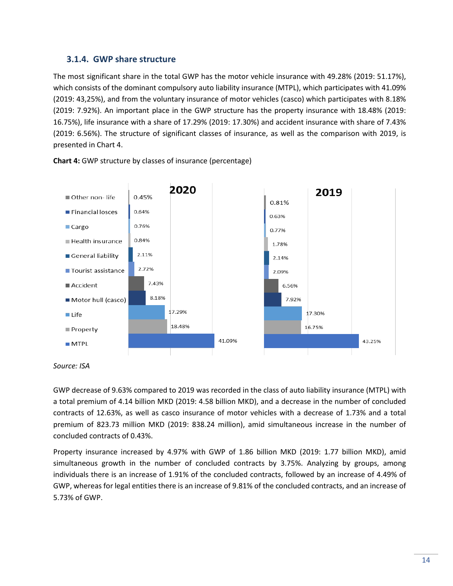### **3.1.4. GWP share structure**

<span id="page-13-0"></span>The most significant share in the total GWP has the motor vehicle insurance with 49.28% (2019: 51.17%), which consists of the dominant compulsory auto liability insurance (MTPL), which participates with 41.09% (2019: 43,25%), and from the voluntary insurance of motor vehicles (casco) which participates with 8.18% (2019: 7.92%). An important place in the GWP structure has the property insurance with 18.48% (2019: 16.75%), life insurance with a share of 17.29% (2019: 17.30%) and accident insurance with share of 7.43% (2019: 6.56%). The structure of significant classes of insurance, as well as the comparison with 2019, is presented in Chart 4.

<span id="page-13-1"></span>

**Chart 4:** GWP structure by classes of insurance (percentage)

GWP decrease of 9.63% compared to 2019 was recorded in the class of auto liability insurance (MTPL) with a total premium of 4.14 billion MKD (2019: 4.58 billion MKD), and a decrease in the number of concluded contracts of 12.63%, as well as casco insurance of motor vehicles with a decrease of 1.73% and a total premium of 823.73 million MKD (2019: 838.24 million), amid simultaneous increase in the number of concluded contracts of 0.43%.

Property insurance increased by 4.97% with GWP of 1.86 billion MKD (2019: 1.77 billion MKD), amid simultaneous growth in the number of concluded contracts by 3.75%. Analyzing by groups, among individuals there is an increase of 1.91% of the concluded contracts, followed by an increase of 4.49% of GWP, whereas for legal entities there is an increase of 9.81% of the concluded contracts, and an increase of 5.73% of GWP.

*Source: ISA*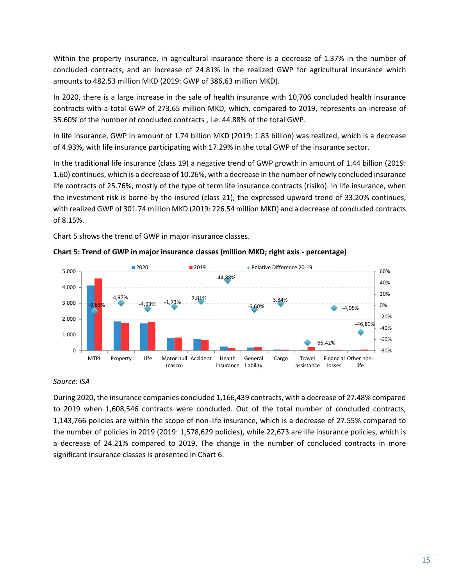Within the property insurance, in agricultural insurance there is a decrease of 1.37% in the number of concluded contracts, and an increase of 24.81% in the realized GWP for agricultural insurance which amounts to 482.53 million MKD (2019: GWP of 386,63 million MKD).

In 2020, there is a large increase in the sale of health insurance with 10,706 concluded health insurance contracts with a total GWP of 273.65 million MKD, which, compared to 2019, represents an increase of 35.60% of the number of concluded contracts , i.e. 44.88% of the total GWP.

In life insurance, GWP in amount of 1.74 billion MKD (2019: 1.83 billion) was realized, which is a decrease of 4.93%, with life insurance participating with 17.29% in the total GWP of the insurance sector.

In the traditional life insurance (class 19) a negative trend of GWP growth in amount of 1.44 billion (2019: 1.60) continues, which is a decrease of 10.26%, with a decrease in the number of newly concluded insurance life contracts of 25.76%, mostly of the type of term life insurance contracts (risiko). In life insurance, when the investment risk is borne by the insured (class 21), the expressed upward trend of 33.20% continues, with realized GWP of 301.74 million MKD (2019: 226.54 million MKD) and a decrease of concluded contracts of 8.15%.

Chart 5 shows the trend of GWP in major insurance classes.

<span id="page-14-0"></span>



#### *Source: ISA*

During 2020, the insurance companies concluded 1,166,439 contracts, with a decrease of 27.48% compared to 2019 when 1,608,546 contracts were concluded. Out of the total number of concluded contracts, 1,143,766 policies are within the scope of non-life insurance, which is a decrease of 27.55% compared to the number of policies in 2019 (2019: 1,578,629 policies), while 22,673 are life insurance policies, which is a decrease of 24.21% compared to 2019. The change in the number of concluded contracts in more significant insurance classes is presented in Chart 6.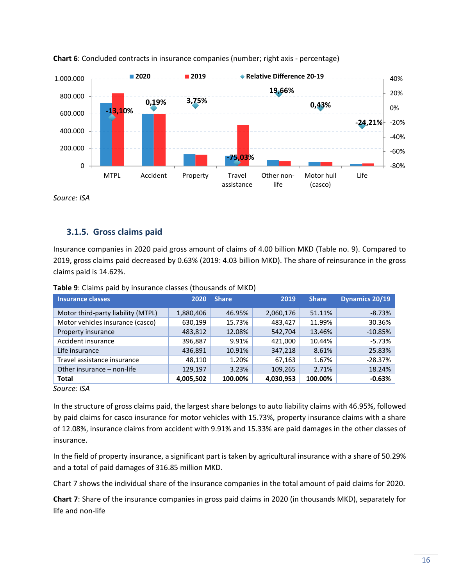<span id="page-15-2"></span>



## **3.1.5. Gross claims paid**

<span id="page-15-0"></span>Insurance companies in 2020 paid gross amount of claims of 4.00 billion MKD (Table no. 9). Compared to 2019, gross claims paid decreased by 0.63% (2019: 4.03 billion MKD). The share of reinsurance in the gross claims paid is 14.62%.

<span id="page-15-1"></span>

| Insurance classes                  | 2020      | <b>Share</b> | 2019      | <b>Share</b> | <b>Dynamics 20/19</b> |
|------------------------------------|-----------|--------------|-----------|--------------|-----------------------|
| Motor third-party liability (MTPL) | 1,880,406 | 46.95%       | 2,060,176 | 51.11%       | $-8.73%$              |
| Motor vehicles insurance (casco)   | 630,199   | 15.73%       | 483,427   | 11.99%       | 30.36%                |
| Property insurance                 | 483,812   | 12.08%       | 542,704   | 13.46%       | $-10.85%$             |
| Accident insurance                 | 396,887   | 9.91%        | 421,000   | 10.44%       | $-5.73%$              |
| Life insurance                     | 436,891   | 10.91%       | 347,218   | 8.61%        | 25.83%                |
| Travel assistance insurance        | 48,110    | 1.20%        | 67,163    | 1.67%        | $-28.37%$             |
| Other insurance - non-life         | 129,197   | 3.23%        | 109,265   | 2.71%        | 18.24%                |
| Total                              | 4,005,502 | 100.00%      | 4,030,953 | 100.00%      | $-0.63%$              |
| $\sim$ $\sim$ $\sim$               |           |              |           |              |                       |

**Table 9**: Claims paid by insurance classes (thousands of MKD)

*Source: ISA*

In the structure of gross claims paid, the largest share belongs to auto liability claims with 46.95%, followed by paid claims for casco insurance for motor vehicles with 15.73%, property insurance claims with a share of 12.08%, insurance claims from accident with 9.91% and 15.33% are paid damages in the other classes of insurance.

In the field of property insurance, a significant part is taken by agricultural insurance with a share of 50.29% and a total of paid damages of 316.85 million MKD.

Chart 7 shows the individual share of the insurance companies in the total amount of paid claims for 2020.

<span id="page-15-3"></span>**Chart 7**: Share of the insurance companies in gross paid claims in 2020 (in thousands MKD), separately for life and non-life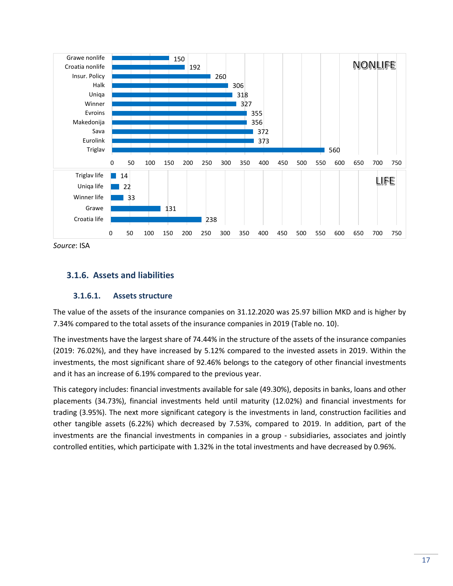

## **3.1.6. Assets and liabilities**

#### **3.1.6.1. Assets structure**

<span id="page-16-0"></span>The value of the assets of the insurance companies on 31.12.2020 was 25.97 billion MKD and is higher by 7.34% compared to the total assets of the insurance companies in 2019 (Table no. 10).

The investments have the largest share of 74.44% in the structure of the assets of the insurance companies (2019: 76.02%), and they have increased by 5.12% compared to the invested assets in 2019. Within the investments, the most significant share of 92.46% belongs to the category of other financial investments and it has an increase of 6.19% compared to the previous year.

<span id="page-16-1"></span>This category includes: financial investments available for sale (49.30%), deposits in banks, loans and other placements (34.73%), financial investments held until maturity (12.02%) and financial investments for trading (3.95%). The next more significant category is the investments in land, construction facilities and other tangible assets (6.22%) which decreased by 7.53%, compared to 2019. In addition, part of the investments are the financial investments in companies in a group - subsidiaries, associates and jointly controlled entities, which participate with 1.32% in the total investments and have decreased by 0.96%.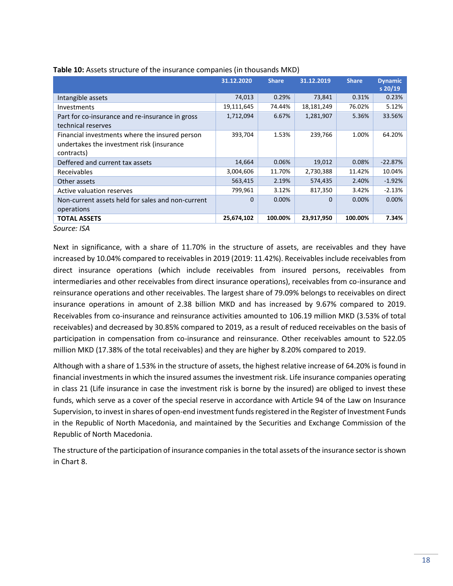|                                                                                                           | 31.12.2020 | <b>Share</b> | 31.12.2019 | <b>Share</b> | <b>Dynamic</b><br>$s$ 20/19 |
|-----------------------------------------------------------------------------------------------------------|------------|--------------|------------|--------------|-----------------------------|
| Intangible assets                                                                                         | 74,013     | 0.29%        | 73,841     | 0.31%        | 0.23%                       |
| Investments                                                                                               | 19,111,645 | 74.44%       | 18,181,249 | 76.02%       | 5.12%                       |
| Part for co-insurance and re-insurance in gross<br>technical reserves                                     | 1,712,094  | 6.67%        | 1,281,907  | 5.36%        | 33.56%                      |
| Financial investments where the insured person<br>undertakes the investment risk (insurance<br>contracts) | 393,704    | 1.53%        | 239,766    | 1.00%        | 64.20%                      |
| Deffered and current tax assets                                                                           | 14,664     | 0.06%        | 19,012     | 0.08%        | $-22.87%$                   |
| Receivables                                                                                               | 3,004,606  | 11.70%       | 2,730,388  | 11.42%       | 10.04%                      |
| Other assets                                                                                              | 563,415    | 2.19%        | 574,435    | 2.40%        | $-1.92%$                    |
| Active valuation reserves                                                                                 | 799,961    | 3.12%        | 817,350    | 3.42%        | $-2.13%$                    |
| Non-current assets held for sales and non-current<br>operations                                           | $\Omega$   | 0.00%        | $\Omega$   | 0.00%        | 0.00%                       |
| <b>TOTAL ASSETS</b>                                                                                       | 25,674,102 | 100.00%      | 23,917,950 | 100.00%      | 7.34%                       |
| Source: ISA                                                                                               |            |              |            |              |                             |

Next in significance, with a share of 11.70% in the structure of assets, are receivables and they have increased by 10.04% compared to receivables in 2019 (2019: 11.42%). Receivables include receivables from direct insurance operations (which include receivables from insured persons, receivables from intermediaries and other receivables from direct insurance operations), receivables from co-insurance and reinsurance operations and other receivables. The largest share of 79.09% belongs to receivables on direct insurance operations in amount of 2.38 billion MKD and has increased by 9.67% compared to 2019. Receivables from co-insurance and reinsurance activities amounted to 106.19 million MKD (3.53% of total receivables) and decreased by 30.85% compared to 2019, as a result of reduced receivables on the basis of participation in compensation from co-insurance and reinsurance. Other receivables amount to 522.05 million MKD (17.38% of the total receivables) and they are higher by 8.20% compared to 2019.

Although with a share of 1.53% in the structure of assets, the highest relative increase of 64.20% is found in financial investments in which the insured assumes the investment risk. Life insurance companies operating in class 21 (Life insurance in case the investment risk is borne by the insured) are obliged to invest these funds, which serve as a cover of the special reserve in accordance with Article 94 of the Law on Insurance Supervision, to invest in shares of open-end investment funds registered in the Register of Investment Funds in the Republic of North Macedonia, and maintained by the Securities and Exchange Commission of the Republic of North Macedonia.

The structure of the participation of insurance companies in the total assets of the insurance sector is shown in Chart 8.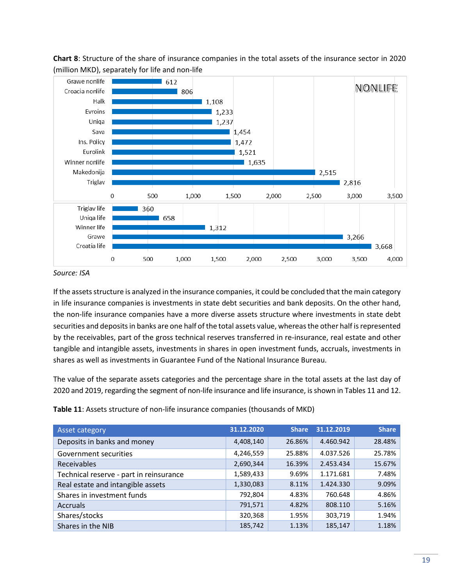<span id="page-18-1"></span>

**Chart 8**: Structure of the share of insurance companies in the total assets of the insurance sector in 2020 (million MKD), separately for life and non-life

*Source: ISA*

If the assets structure is analyzed in the insurance companies, it could be concluded that the main category in life insurance companies is investments in state debt securities and bank deposits. On the other hand, the non-life insurance companies have a more diverse assets structure where investments in state debt securities and deposits in banks are one half of the total assets value, whereas the other half is represented by the receivables, part of the gross technical reserves transferred in re-insurance, real estate and other tangible and intangible assets, investments in shares in open investment funds, accruals, investments in shares as well as investments in Guarantee Fund of the National Insurance Bureau.

The value of the separate assets categories and the percentage share in the total assets at the last day of 2020 and 2019, regarding the segment of non-life insurance and life insurance, is shown in Tables 11 and 12.

**Table 11**: Assets structure of non-life insurance companies (thousands of MKD)

<span id="page-18-0"></span>

| Asset category                          | 31.12.2020 | <b>Share</b> | 31.12.2019 | <b>Share</b> |
|-----------------------------------------|------------|--------------|------------|--------------|
| Deposits in banks and money             | 4,408,140  | 26.86%       | 4.460.942  | 28.48%       |
| Government securities                   | 4,246,559  | 25.88%       | 4.037.526  | 25.78%       |
| Receivables                             | 2,690,344  | 16.39%       | 2.453.434  | 15.67%       |
| Technical reserve - part in reinsurance | 1,589,433  | 9.69%        | 1.171.681  | 7.48%        |
| Real estate and intangible assets       | 1,330,083  | 8.11%        | 1.424.330  | 9.09%        |
| Shares in investment funds              | 792,804    | 4.83%        | 760.648    | 4.86%        |
| <b>Accruals</b>                         | 791,571    | 4.82%        | 808.110    | 5.16%        |
| Shares/stocks                           | 320,368    | 1.95%        | 303,719    | 1.94%        |
| Shares in the NIB                       | 185,742    | 1.13%        | 185,147    | 1.18%        |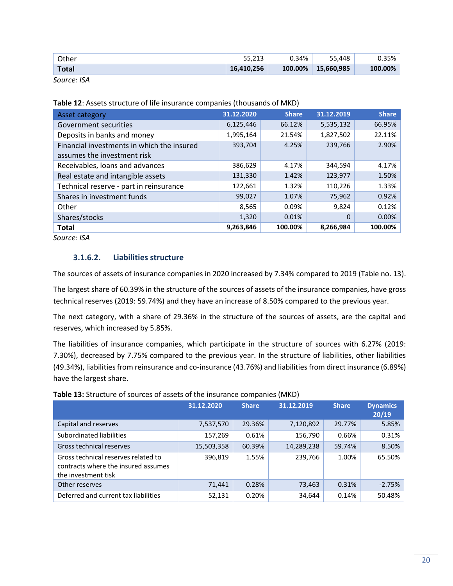| <b>Total</b> | 16,410,256 | 100.00% | 15,660,985 | 100.00% |
|--------------|------------|---------|------------|---------|
| Other        | 55.213     | 0.34%   | 55.448     | 0.35%   |

<span id="page-19-0"></span>

| Asset category                             | 31.12.2020 | <b>Share</b> | 31.12.2019 | <b>Share</b> |
|--------------------------------------------|------------|--------------|------------|--------------|
| Government securities                      | 6,125,446  | 66.12%       | 5,535,132  | 66.95%       |
| Deposits in banks and money                | 1,995,164  | 21.54%       | 1,827,502  | 22.11%       |
| Financial investments in which the insured | 393,704    | 4.25%        | 239,766    | 2.90%        |
| assumes the investment risk                |            |              |            |              |
| Receivables, loans and advances            | 386,629    | 4.17%        | 344,594    | 4.17%        |
| Real estate and intangible assets          | 131,330    | 1.42%        | 123,977    | 1.50%        |
| Technical reserve - part in reinsurance    | 122,661    | 1.32%        | 110,226    | 1.33%        |
| Shares in investment funds                 | 99,027     | 1.07%        | 75,962     | 0.92%        |
| Other                                      | 8,565      | 0.09%        | 9,824      | 0.12%        |
| Shares/stocks                              | 1,320      | 0.01%        | $\Omega$   | 0.00%        |
| <b>Total</b>                               | 9,263,846  | 100.00%      | 8,266,984  | 100.00%      |

**Table 12**: Assets structure of life insurance companies (thousands of MKD)

*Source: ISA*

#### **3.1.6.2. Liabilities structure**

The sources of assets of insurance companies in 2020 increased by 7.34% compared to 2019 (Table no. 13).

The largest share of 60.39% in the structure of the sources of assets of the insurance companies, have gross technical reserves (2019: 59.74%) and they have an increase of 8.50% compared to the previous year.

The next category, with a share of 29.36% in the structure of the sources of assets, are the capital and reserves, which increased by 5.85%.

The liabilities of insurance companies, which participate in the structure of sources with 6.27% (2019: 7.30%), decreased by 7.75% compared to the previous year. In the structure of liabilities, other liabilities (49.34%), liabilities from reinsurance and co-insurance (43.76%) and liabilities from direct insurance (6.89%) have the largest share.

|  | Table 13: Structure of sources of assets of the insurance companies (MKD) |  |  |
|--|---------------------------------------------------------------------------|--|--|
|  |                                                                           |  |  |

<span id="page-19-1"></span>

|                                                                                                   | 31.12.2020 | <b>Share</b> | 31.12.2019 | <b>Share</b> | <b>Dynamics</b><br>20/19 |
|---------------------------------------------------------------------------------------------------|------------|--------------|------------|--------------|--------------------------|
| Capital and reserves                                                                              | 7,537,570  | 29.36%       | 7,120,892  | 29.77%       | 5.85%                    |
| Subordinated liabilities                                                                          | 157,269    | 0.61%        | 156,790    | 0.66%        | 0.31%                    |
| Gross technical reserves                                                                          | 15,503,358 | 60.39%       | 14,289,238 | 59.74%       | 8.50%                    |
| Gross technical reserves related to<br>contracts where the insured assumes<br>the investment tisk | 396,819    | 1.55%        | 239,766    | 1.00%        | 65.50%                   |
| Other reserves                                                                                    | 71,441     | 0.28%        | 73,463     | 0.31%        | $-2.75%$                 |
| Deferred and current tax liabilities                                                              | 52,131     | 0.20%        | 34,644     | 0.14%        | 50.48%                   |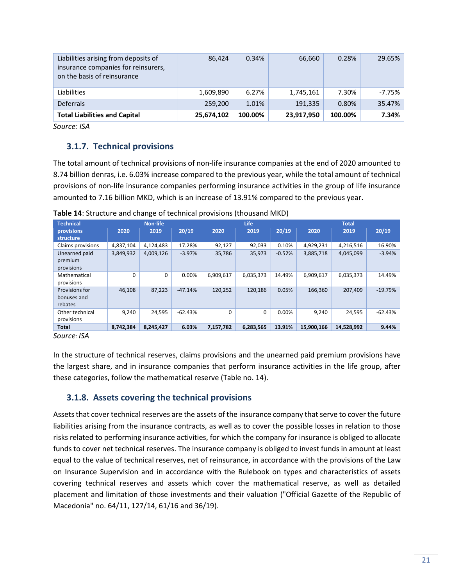| 86.424     | 0.34%   | 66,660     | 0.28%   | 29.65%   |
|------------|---------|------------|---------|----------|
| 1,609,890  | 6.27%   | 1,745,161  | 7.30%   | $-7.75%$ |
| 259,200    | 1.01%   | 191,335    | 0.80%   | 35.47%   |
| 25,674,102 | 100.00% | 23,917,950 | 100.00% | 7.34%    |
|            |         |            |         |          |

## **3.1.7. Technical provisions**

<span id="page-20-0"></span>The total amount of technical provisions of non-life insurance companies at the end of 2020 amounted to 8.74 billion denras, i.e. 6.03% increase compared to the previous year, while the total amount of technical provisions of non-life insurance companies performing insurance activities in the group of life insurance amounted to 7.16 billion MKD, which is an increase of 13.91% compared to the previous year.

<span id="page-20-2"></span>

| <b>Technical</b><br><b>Non-life</b> |           |           |           | <b>Life</b> |           | <b>Total</b> |            |            |           |
|-------------------------------------|-----------|-----------|-----------|-------------|-----------|--------------|------------|------------|-----------|
| provisions                          | 2020      | 2019      | 20/19     | 2020        | 2019      | 20/19        | 2020       | 2019       | 20/19     |
| structure                           |           |           |           |             |           |              |            |            |           |
| Claims provisions                   | 4,837,104 | 4,124,483 | 17.28%    | 92,127      | 92,033    | 0.10%        | 4,929,231  | 4,216,516  | 16.90%    |
| Unearned paid                       | 3,849,932 | 4,009,126 | $-3.97%$  | 35,786      | 35,973    | $-0.52%$     | 3,885,718  | 4,045,099  | $-3.94%$  |
| premium                             |           |           |           |             |           |              |            |            |           |
| provisions                          |           |           |           |             |           |              |            |            |           |
| Mathematical                        | $\Omega$  | 0         | 0.00%     | 6,909,617   | 6,035,373 | 14.49%       | 6,909,617  | 6,035,373  | 14.49%    |
| provisions                          |           |           |           |             |           |              |            |            |           |
| Provisions for                      | 46.108    | 87,223    | $-47.14%$ | 120,252     | 120,186   | 0.05%        | 166,360    | 207,409    | $-19.79%$ |
| bonuses and                         |           |           |           |             |           |              |            |            |           |
| rebates                             |           |           |           |             |           |              |            |            |           |
| Other technical                     | 9,240     | 24,595    | $-62.43%$ | 0           | 0         | 0.00%        | 9.240      | 24,595     | $-62.43%$ |
| provisions                          |           |           |           |             |           |              |            |            |           |
| <b>Total</b>                        | 8,742,384 | 8,245,427 | 6.03%     | 7,157,782   | 6,283,565 | 13.91%       | 15,900,166 | 14,528,992 | 9.44%     |

**Table 14**: Structure and change of technical provisions (thousand MKD)

*Source: ISA*

In the structure of technical reserves, claims provisions and the unearned paid premium provisions have the largest share, and in insurance companies that perform insurance activities in the life group, after these categories, follow the mathematical reserve (Table no. 14).

## **3.1.8. Assets covering the technical provisions**

<span id="page-20-1"></span>Assets that cover technical reserves are the assets of the insurance company that serve to cover the future liabilities arising from the insurance contracts, as well as to cover the possible losses in relation to those risks related to performing insurance activities, for which the company for insurance is obliged to allocate funds to cover net technical reserves. The insurance company is obliged to invest funds in amount at least equal to the value of technical reserves, net of reinsurance, in accordance with the provisions of the Law on Insurance Supervision and in accordance with the Rulebook on types and characteristics of assets covering technical reserves and assets which cover the mathematical reserve, as well as detailed placement and limitation of those investments and their valuation ("Official Gazette of the Republic of Macedonia" no. 64/11, 127/14, 61/16 and 36/19).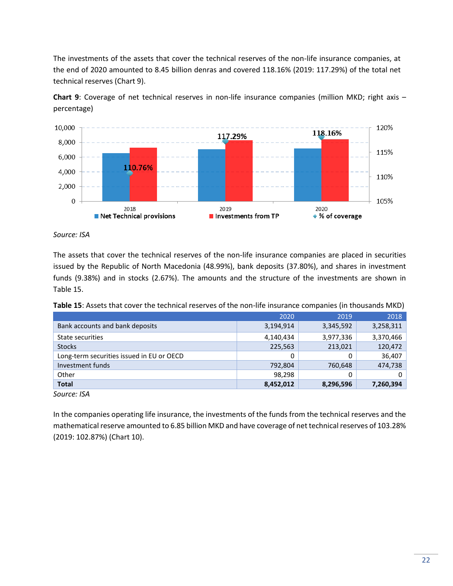The investments of the assets that cover the technical reserves of the non-life insurance companies, at the end of 2020 amounted to 8.45 billion denras and covered 118.16% (2019: 117.29%) of the total net technical reserves (Chart 9).

<span id="page-21-1"></span>

**Chart 9**: Coverage of net technical reserves in non-life insurance companies (million MKD; right axis – percentage)

*Source: ISA*

The assets that cover the technical reserves of the non-life insurance companies are placed in securities issued by the Republic of North Macedonia (48.99%), bank deposits (37.80%), and shares in investment funds (9.38%) and in stocks (2.67%). The amounts and the structure of the investments are shown in Table 15.

| Table 15: Assets that cover the technical reserves of the non-life insurance companies (in thousands MKD) |  |  |
|-----------------------------------------------------------------------------------------------------------|--|--|
|-----------------------------------------------------------------------------------------------------------|--|--|

<span id="page-21-0"></span>

|                                           | 2020      | 2019      | 2018      |
|-------------------------------------------|-----------|-----------|-----------|
| Bank accounts and bank deposits           | 3,194,914 | 3,345,592 | 3,258,311 |
| State securities                          | 4,140,434 | 3,977,336 | 3,370,466 |
| <b>Stocks</b>                             | 225,563   | 213,021   | 120,472   |
| Long-term securities issued in EU or OECD | 0         | 0         | 36,407    |
| Investment funds                          | 792,804   | 760,648   | 474,738   |
| Other                                     | 98,298    | 0         | 0         |
| <b>Total</b>                              | 8,452,012 | 8,296,596 | 7,260,394 |

*Source: ISA*

In the companies operating life insurance, the investments of the funds from the technical reserves and the mathematical reserve amounted to 6.85 billion MKD and have coverage of net technical reserves of 103.28% (2019: 102.87%) (Chart 10).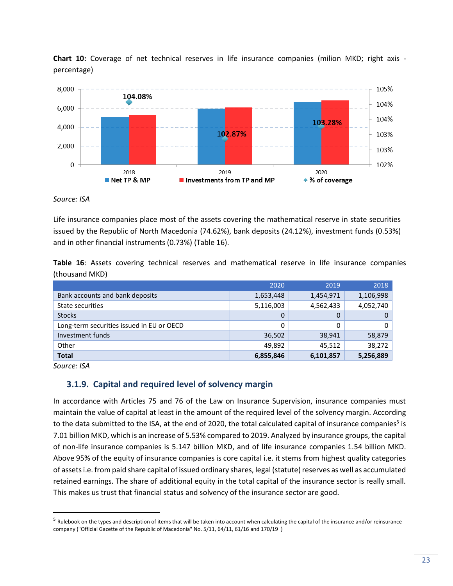**Chart 10:** Coverage of net technical reserves in life insurance companies (milion MKD; right axis percentage)

<span id="page-22-2"></span>

#### *Source: ISA*

Life insurance companies place most of the assets covering the mathematical reserve in state securities issued by the Republic of North Macedonia (74.62%), bank deposits (24.12%), investment funds (0.53%) and in other financial instruments (0.73%) (Table 16).

**Table 16**: Assets covering technical reserves and mathematical reserve in life insurance companies (thousand MKD)

<span id="page-22-1"></span>

|                                           | 2020      | 2019      | 2018      |
|-------------------------------------------|-----------|-----------|-----------|
| Bank accounts and bank deposits           | 1,653,448 | 1,454,971 | 1,106,998 |
| State securities                          | 5,116,003 | 4,562,433 | 4,052,740 |
| <b>Stocks</b>                             | 0         | 0         | 0         |
| Long-term securities issued in EU or OECD | 0         | 0         | 0         |
| Investment funds                          | 36,502    | 38,941    | 58,879    |
| Other                                     | 49.892    | 45,512    | 38,272    |
| <b>Total</b>                              | 6,855,846 | 6,101,857 | 5,256,889 |

*Source: ISA*

### **3.1.9. Capital and required level of solvency margin**

<span id="page-22-0"></span>In accordance with Articles 75 and 76 of the Law on Insurance Supervision, insurance companies must maintain the value of capital at least in the amount of the required level of the solvency margin. According to the data submitted to the ISA, at the end of 2020, the total calculated capital of insurance companies<sup>5</sup> is 7.01 billion MKD, which is an increase of 5.53% compared to 2019. Analyzed by insurance groups, the capital of non-life insurance companies is 5.147 billion MKD, and of life insurance companies 1.54 billion MKD. Above 95% of the equity of insurance companies is core capital i.e. it stems from highest quality categories of assets i.e. from paid share capital of issued ordinary shares, legal (statute) reserves as well as accumulated retained earnings. The share of additional equity in the total capital of the insurance sector is really small. This makes us trust that financial status and solvency of the insurance sector are good.

<sup>&</sup>lt;sup>5</sup> Rulebook on the types and description of items that will be taken into account when calculating the capital of the insurance and/or reinsurance company ("Official Gazette of the Republic of Macedonia" No. 5/11, 64/11, 61/16 and 170/19 )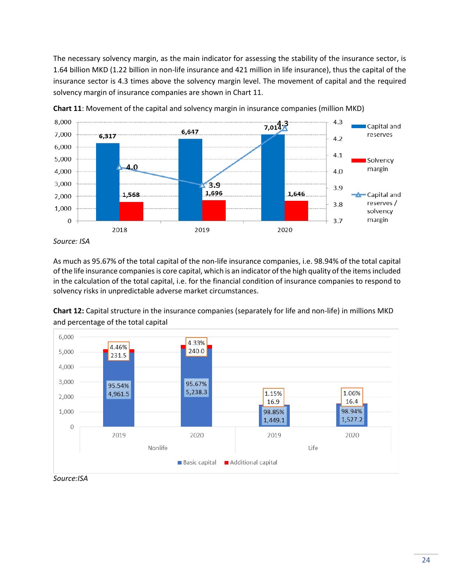The necessary solvency margin, as the main indicator for assessing the stability of the insurance sector, is 1.64 billion MKD (1.22 billion in non-life insurance and 421 million in life insurance), thus the capital of the insurance sector is 4.3 times above the solvency margin level. The movement of capital and the required solvency margin of insurance companies are shown in Chart 11.

<span id="page-23-0"></span>



As much as 95.67% of the total capital of the non-life insurance companies, i.e. 98.94% of the total capital of the life insurance companies is core capital, which is an indicator of the high quality of the items included in the calculation of the total capital, i.e. for the financial condition of insurance companies to respond to solvency risks in unpredictable adverse market circumstances.

**Chart 12:** Capital structure in the insurance companies (separately for life and non-life) in millions MKD and percentage of the total capital

<span id="page-23-1"></span>

*Source:ISA*

*Source: ISA*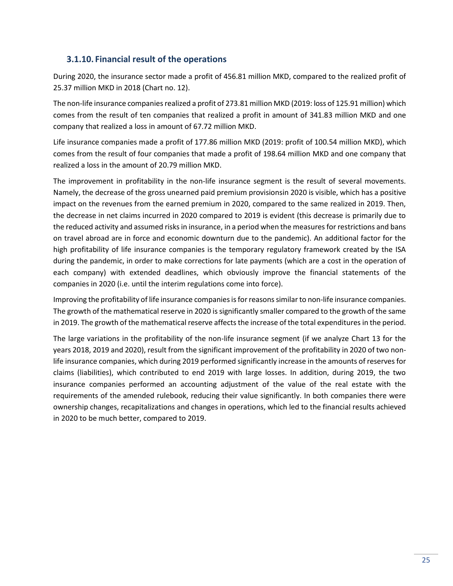## **3.1.10. Financial result of the operations**

During 2020, the insurance sector made a profit of 456.81 million MKD, compared to the realized profit of 25.37 million MKD in 2018 (Chart no. 12).

<span id="page-24-0"></span>The non-life insurance companies realized a profit of 273.81 million MKD (2019: loss of 125.91 million) which comes from the result of ten companies that realized a profit in amount of 341.83 million MKD and one company that realized a loss in amount of 67.72 million MKD.

Life insurance companies made a profit of 177.86 million MKD (2019: profit of 100.54 million MKD), which comes from the result of four companies that made a profit of 198.64 million MKD and one company that realized a loss in the amount of 20.79 million MKD.

The improvement in profitability in the non-life insurance segment is the result of several movements. Namely, the decrease of the gross unearned paid premium provisionsin 2020 is visible, which has a positive impact on the revenues from the earned premium in 2020, compared to the same realized in 2019. Then, the decrease in net claims incurred in 2020 compared to 2019 is evident (this decrease is primarily due to the reduced activity and assumed risks in insurance, in a period when the measures for restrictions and bans on travel abroad are in force and economic downturn due to the pandemic). An additional factor for the high profitability of life insurance companies is the temporary regulatory framework created by the ISA during the pandemic, in order to make corrections for late payments (which are a cost in the operation of each company) with extended deadlines, which obviously improve the financial statements of the companies in 2020 (i.e. until the interim regulations come into force).

Improving the profitability of life insurance companies is for reasons similar to non-life insurance companies. The growth of the mathematical reserve in 2020 is significantly smaller compared to the growth of the same in 2019. The growth of the mathematical reserve affects the increase of the total expenditures in the period.

The large variations in the profitability of the non-life insurance segment (if we analyze Chart 13 for the years 2018, 2019 and 2020), result from the significant improvement of the profitability in 2020 of two nonlife insurance companies, which during 2019 performed significantly increase in the amounts of reserves for claims (liabilities), which contributed to end 2019 with large losses. In addition, during 2019, the two insurance companies performed an accounting adjustment of the value of the real estate with the requirements of the amended rulebook, reducing their value significantly. In both companies there were ownership changes, recapitalizations and changes in operations, which led to the financial results achieved in 2020 to be much better, compared to 2019.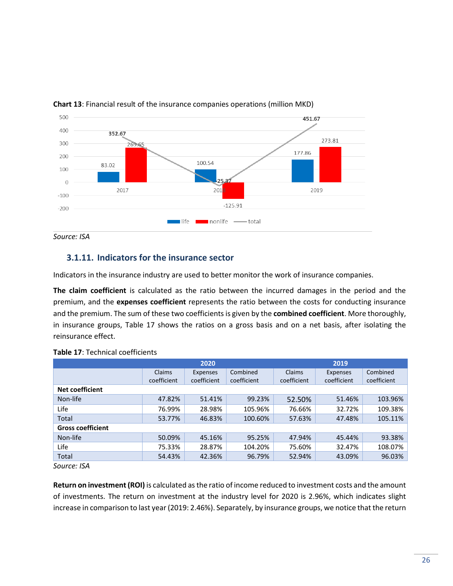

<span id="page-25-2"></span>

## **3.1.11. Indicators for the insurance sector**

Indicators in the insurance industry are used to better monitor the work of insurance companies.

<span id="page-25-0"></span>**The claim coefficient** is calculated as the ratio between the incurred damages in the period and the premium, and the **expenses coefficient** represents the ratio between the costs for conducting insurance and the premium. The sum of these two coefficients is given by the **combined coefficient**. More thoroughly, in insurance groups, Table 17 shows the ratios on a gross basis and on a net basis, after isolating the reinsurance effect.

<span id="page-25-1"></span>

|                          |             | 2019        |             |             |             |             |
|--------------------------|-------------|-------------|-------------|-------------|-------------|-------------|
|                          | Claims      | Expenses    | Combined    | Claims      | Expenses    | Combined    |
|                          | coefficient | coefficient | coefficient | coefficient | coefficient | coefficient |
| <b>Net coefficient</b>   |             |             |             |             |             |             |
| Non-life                 | 47.82%      | 51.41%      | 99.23%      | 52.50%      | 51.46%      | 103.96%     |
| Life                     | 76.99%      | 28.98%      | 105.96%     | 76.66%      | 32.72%      | 109.38%     |
| Total                    | 53.77%      | 46.83%      | 100.60%     | 57.63%      | 47.48%      | 105.11%     |
| <b>Gross coefficient</b> |             |             |             |             |             |             |
| Non-life                 | 50.09%      | 45.16%      | 95.25%      | 47.94%      | 45.44%      | 93.38%      |
| Life                     | 75.33%      | 28.87%      | 104.20%     | 75.60%      | 32.47%      | 108.07%     |
| Total                    | 54.43%      | 42.36%      | 96.79%      | 52.94%      | 43.09%      | 96.03%      |

#### **Table 17**: Technical coefficients

*Source: ISA*

**Return on investment(ROI)** is calculated as the ratio of income reduced to investment costs and the amount of investments. The return on investment at the industry level for 2020 is 2.96%, which indicates slight increase in comparison to last year (2019: 2.46%). Separately, by insurance groups, we notice that the return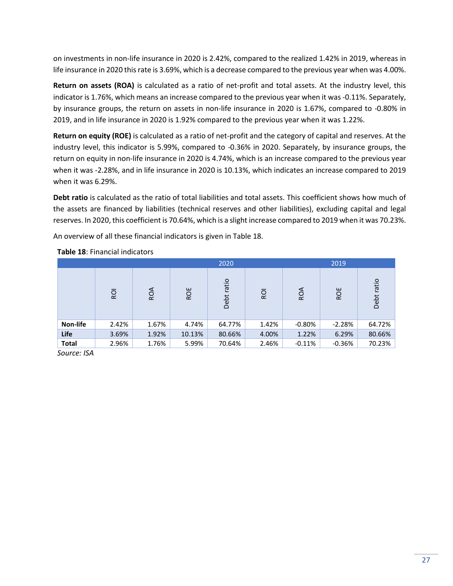on investments in non-life insurance in 2020 is 2.42%, compared to the realized 1.42% in 2019, whereas in life insurance in 2020 this rate is 3.69%, which is a decrease compared to the previous year when was 4.00%.

**Return on assets (ROA)** is calculated as a ratio of net-profit and total assets. At the industry level, this indicator is 1.76%, which means an increase compared to the previous year when it was -0.11%. Separately, by insurance groups, the return on assets in non-life insurance in 2020 is 1.67%, compared to -0.80% in 2019, and in life insurance in 2020 is 1.92% compared to the previous year when it was 1.22%.

**Return on equity (ROE)** is calculated as a ratio of net-profit and the category of capital and reserves. At the industry level, this indicator is 5.99%, compared to -0.36% in 2020. Separately, by insurance groups, the return on equity in non-life insurance in 2020 is 4.74%, which is an increase compared to the previous year when it was -2.28%, and in life insurance in 2020 is 10.13%, which indicates an increase compared to 2019 when it was 6.29%.

**Debt ratio** is calculated as the ratio of total liabilities and total assets. This coefficient shows how much of the assets are financed by liabilities (technical reserves and other liabilities), excluding capital and legal reserves. In 2020, this coefficient is 70.64%, which is a slight increase compared to 2019 when it was 70.23%.

An overview of all these financial indicators is given in Table 18.

<span id="page-26-0"></span>

| 2020         |            |       |        |               |            | 2019      |          |               |
|--------------|------------|-------|--------|---------------|------------|-----------|----------|---------------|
|              | <b>ROI</b> | ROA   | ROE    | ratio<br>Debt | <b>ROI</b> | ROA       | ROE      | ratio<br>Debt |
| Non-life     | 2.42%      | 1.67% | 4.74%  | 64.77%        | 1.42%      | $-0.80\%$ | $-2.28%$ | 64.72%        |
| Life         | 3.69%      | 1.92% | 10.13% | 80.66%        | 4.00%      | 1.22%     | 6.29%    | 80.66%        |
| <b>Total</b> | 2.96%      | 1.76% | 5.99%  | 70.64%        | 2.46%      | $-0.11%$  | $-0.36%$ | 70.23%        |

#### **Table 18**: Financial indicators

*Source: ISA*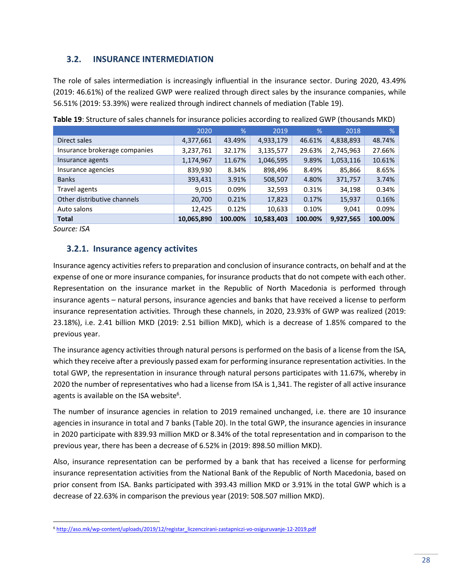## **3.2. INSURANCE INTERMEDIATION**

<span id="page-27-0"></span>The role of sales intermediation is increasingly influential in the insurance sector. During 2020, 43.49% (2019: 46.61%) of the realized GWP were realized through direct sales by the insurance companies, while 56.51% (2019: 53.39%) were realized through indirect channels of mediation (Table 19).

<span id="page-27-2"></span>

|                               | 2020       | $\frac{9}{6}$ | 2019       | %       | 2018      | %       |
|-------------------------------|------------|---------------|------------|---------|-----------|---------|
| Direct sales                  | 4,377,661  | 43.49%        | 4,933,179  | 46.61%  | 4,838,893 | 48.74%  |
| Insurance brokerage companies | 3,237,761  | 32.17%        | 3,135,577  | 29.63%  | 2,745,963 | 27.66%  |
| Insurance agents              | 1,174,967  | 11.67%        | 1,046,595  | 9.89%   | 1,053,116 | 10.61%  |
| Insurance agencies            | 839,930    | 8.34%         | 898,496    | 8.49%   | 85,866    | 8.65%   |
| <b>Banks</b>                  | 393,431    | 3.91%         | 508,507    | 4.80%   | 371,757   | 3.74%   |
| Travel agents                 | 9,015      | $0.09\%$      | 32,593     | 0.31%   | 34,198    | 0.34%   |
| Other distributive channels   | 20,700     | 0.21%         | 17,823     | 0.17%   | 15,937    | 0.16%   |
| Auto salons                   | 12,425     | 0.12%         | 10,633     | 0.10%   | 9,041     | 0.09%   |
| <b>Total</b>                  | 10,065,890 | 100.00%       | 10,583,403 | 100.00% | 9,927,565 | 100.00% |

**Table 19**: Structure of sales channels for insurance policies according to realized GWP (thousands MKD)

*Source: ISA*

## **3.2.1. Insurance agency activites**

<span id="page-27-1"></span>Insurance agency activities refers to preparation and conclusion of insurance contracts, on behalf and at the expense of one or more insurance companies, for insurance products that do not compete with each other. Representation on the insurance market in the Republic of North Macedonia is performed through insurance agents – natural persons, insurance agencies and banks that have received a license to perform insurance representation activities. Through these channels, in 2020, 23.93% of GWP was realized (2019: 23.18%), i.e. 2.41 billion MKD (2019: 2.51 billion MKD), which is a decrease of 1.85% compared to the previous year.

The insurance agency activities through natural persons is performed on the basis of a license from the ISA, which they receive after a previously passed exam for performing insurance representation activities. In the total GWP, the representation in insurance through natural persons participates with 11.67%, whereby in 2020 the number of representatives who had a license from ISA is 1,341. The register of all active insurance agents is available on the ISA website<sup>6</sup>.

The number of insurance agencies in relation to 2019 remained unchanged, i.e. there are 10 insurance agencies in insurance in total and 7 banks (Table 20). In the total GWP, the insurance agencies in insurance in 2020 participate with 839.93 million MKD or 8.34% of the total representation and in comparison to the previous year, there has been a decrease of 6.52% in (2019: 898.50 million MKD).

Also, insurance representation can be performed by a bank that has received a license for performing insurance representation activities from the National Bank of the Republic of North Macedonia, based on prior consent from ISA. Banks participated with 393.43 million MKD or 3.91% in the total GWP which is a decrease of 22.63% in comparison the previous year (2019: 508.507 million MKD).

<sup>6</sup> [http://aso.mk/wp-content/uploads/2019/12/registar\\_liczenczirani-zastapniczi-vo-osiguruvanje-12-2019.pdf](http://aso.mk/wp-content/uploads/2019/12/registar_liczenczirani-zastapniczi-vo-osiguruvanje-12-2019.pdf)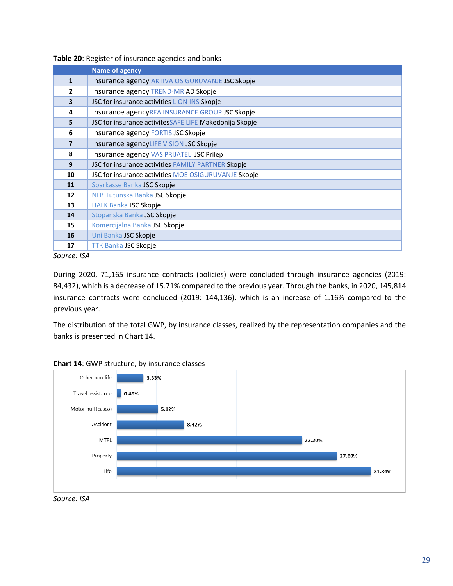<span id="page-28-0"></span>

|                         | <b>Name of agency</b>                                  |
|-------------------------|--------------------------------------------------------|
| $\mathbf{1}$            | Insurance agency AKTIVA OSIGURUVANJE JSC Skopje        |
| $\overline{2}$          | Insurance agency TREND-MR AD Skopje                    |
| $\overline{\mathbf{3}}$ | JSC for insurance activities LION INS Skopje           |
| 4                       | Insurance agencyREA INSURANCE GROUP JSC Skopje         |
| 5                       | JSC for insurance activitesSAFE LIFE Makedonija Skopje |
| 6                       | Insurance agency FORTIS JSC Skopje                     |
| $\overline{7}$          | Insurance agencyLIFE VISION JSC Skopje                 |
| 8                       | Insurance agency VAS PRIJATEL JSC Prilep               |
| 9                       | JSC for insurance activities FAMILY PARTNER Skopje     |
| 10                      | JSC for insurance activities MOE OSIGURUVANJE Skopje   |
| 11                      | Sparkasse Banka JSC Skopje                             |
| 12                      | NLB Tutunska Banka JSC Skopje                          |
| 13                      | <b>HALK Banka JSC Skopje</b>                           |
| 14                      | Stopanska Banka JSC Skopje                             |
| 15                      | Komercijalna Banka JSC Skopje                          |
| 16                      | Uni Banka JSC Skopje                                   |
| 17                      | <b>TTK Banka JSC Skopje</b>                            |

#### **Table 20**: Register of insurance agencies and banks

*Source: ISA*

During 2020, 71,165 insurance contracts (policies) were concluded through insurance agencies (2019: 84,432), which is a decrease of 15.71% compared to the previous year. Through the banks, in 2020, 145,814 insurance contracts were concluded (2019: 144,136), which is an increase of 1.16% compared to the previous year.

The distribution of the total GWP, by insurance classes, realized by the representation companies and the banks is presented in Chart 14.

<span id="page-28-1"></span>

#### **Chart 14**: GWP structure, by insurance classes

*Source: ISA*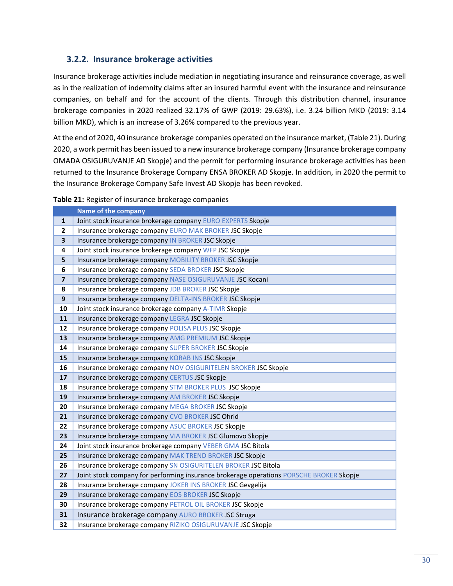## **3.2.2. Insurance brokerage activities**

<span id="page-29-0"></span>Insurance brokerage activities include mediation in negotiating insurance and reinsurance coverage, as well as in the realization of indemnity claims after an insured harmful event with the insurance and reinsurance companies, on behalf and for the account of the clients. Through this distribution channel, insurance brokerage companies in 2020 realized 32.17% of GWP (2019: 29.63%), i.e. 3.24 billion MKD (2019: 3.14 billion MKD), which is an increase of 3.26% compared to the previous year.

At the end of 2020, 40 insurance brokerage companies operated on the insurance market, (Table 21). During 2020, a work permit has been issued to a new insurance brokerage company (Insurance brokerage company OMADA OSIGURUVANJE AD Skopje) and the permit for performing insurance brokerage activities has been returned to the Insurance Brokerage Company ENSA BROKER AD Skopje. In addition, in 2020 the permit to the Insurance Brokerage Company Safe Invest AD Skopje has been revoked.

#### **Table 21:** Register of insurance brokerage companies

<span id="page-29-1"></span>

|                         | Name of the company                                                                     |
|-------------------------|-----------------------------------------------------------------------------------------|
| $\mathbf{1}$            | Joint stock insurance brokerage company EURO EXPERTS Skopje                             |
| $\overline{\mathbf{2}}$ | Insurance brokerage company EURO MAK BROKER JSC Skopje                                  |
| 3                       | Insurance brokerage company IN BROKER JSC Skopje                                        |
| 4                       | Joint stock insurance brokerage company WFP JSC Skopje                                  |
| 5                       | Insurance brokerage company MOBILITY BROKER JSC Skopje                                  |
| 6                       | Insurance brokerage company SEDA BROKER JSC Skopje                                      |
| $\overline{\mathbf{z}}$ | Insurance brokerage company NASE OSIGURUVANJE JSC Kocani                                |
| 8                       | Insurance brokerage company JDB BROKER JSC Skopje                                       |
| 9                       | Insurance brokerage company DELTA-INS BROKER JSC Skopje                                 |
| 10                      | Joint stock insurance brokerage company A-TIMR Skopje                                   |
| 11                      | Insurance brokerage company LEGRA JSC Skopje                                            |
| 12                      | Insurance brokerage company POLISA PLUS JSC Skopje                                      |
| 13                      | Insurance brokerage company AMG PREMIUM JSC Skopje                                      |
| 14                      | Insurance brokerage company SUPER BROKER JSC Skopje                                     |
| 15                      | Insurance brokerage company KORAB INS JSC Skopje                                        |
| 16                      | Insurance brokerage company NOV OSIGURITELEN BROKER JSC Skopje                          |
| 17                      | Insurance brokerage company CERTUS JSC Skopje                                           |
| 18                      | Insurance brokerage company STM BROKER PLUS JSC Skopje                                  |
| 19                      | Insurance brokerage company AM BROKER JSC Skopje                                        |
| 20                      | Insurance brokerage company MEGA BROKER JSC Skopje                                      |
| 21                      | Insurance brokerage company CVO BROKER JSC Ohrid                                        |
| 22                      | Insurance brokerage company ASUC BROKER JSC Skopje                                      |
| 23                      | Insurance brokerage company VIA BROKER JSC Glumovo Skopje                               |
| 24                      | Joint stock insurance brokerage company VEBER GMA JSC Bitola                            |
| 25                      | Insurance brokerage company MAK TREND BROKER JSC Skopje                                 |
| 26                      | Insurance brokerage company SN OSIGURITELEN BROKER JSC Bitola                           |
| 27                      | Joint stock company for performing insurance brokerage operations PORSCHE BROKER Skopje |
| 28                      | Insurance brokerage company JOKER INS BROKER JSC Gevgelija                              |
| 29                      | Insurance brokerage company EOS BROKER JSC Skopje                                       |
| 30                      | Insurance brokerage company PETROL OIL BROKER JSC Skopje                                |
| 31                      | Insurance brokerage company AURO BROKER JSC Struga                                      |
| 32                      | Insurance brokerage company RIZIKO OSIGURUVANJE JSC Skopje                              |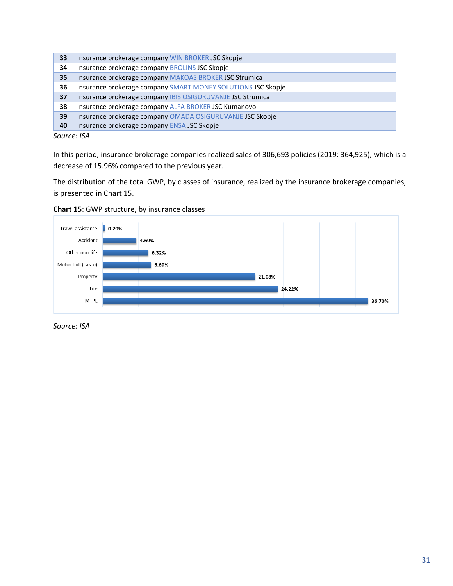| 33 | Insurance brokerage company WIN BROKER JSC Skopje            |
|----|--------------------------------------------------------------|
| 34 | Insurance brokerage company BROLINS JSC Skopje               |
| 35 | Insurance brokerage company MAKOAS BROKER JSC Strumica       |
| 36 | Insurance brokerage company SMART MONEY SOLUTIONS JSC Skopie |
| 37 | Insurance brokerage company IBIS OSIGURUVANJE JSC Strumica   |
| 38 | Insurance brokerage company ALFA BROKER JSC Kumanovo         |
| 39 | Insurance brokerage company OMADA OSIGURUVANJE JSC Skopje    |
| 40 | Insurance brokerage company ENSA JSC Skopje                  |
|    |                                                              |

*Source: ISA*

In this period, insurance brokerage companies realized sales of 306,693 policies (2019: 364,925), which is a decrease of 15.96% compared to the previous year.

The distribution of the total GWP, by classes of insurance, realized by the insurance brokerage companies, is presented in Chart 15.



<span id="page-30-0"></span>

*Source: ISA*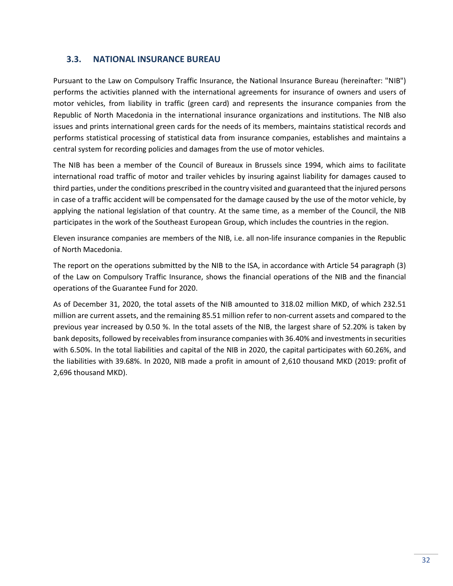#### **3.3. NATIONAL INSURANCE BUREAU**

<span id="page-31-0"></span>Pursuant to the Law on Compulsory Traffic Insurance, the National Insurance Bureau (hereinafter: "NIB") performs the activities planned with the international agreements for insurance of owners and users of motor vehicles, from liability in traffic (green card) and represents the insurance companies from the Republic of North Macedonia in the international insurance organizations and institutions. The NIB also issues and prints international green cards for the needs of its members, maintains statistical records and performs statistical processing of statistical data from insurance companies, establishes and maintains a central system for recording policies and damages from the use of motor vehicles.

The NIB has been a member of the Council of Bureaux in Brussels since 1994, which aims to facilitate international road traffic of motor and trailer vehicles by insuring against liability for damages caused to third parties, under the conditions prescribed in the country visited and guaranteed that the injured persons in case of a traffic accident will be compensated for the damage caused by the use of the motor vehicle, by applying the national legislation of that country. At the same time, as a member of the Council, the NIB participates in the work of the Southeast European Group, which includes the countries in the region.

Eleven insurance companies are members of the NIB, i.e. all non-life insurance companies in the Republic of North Macedonia.

The report on the operations submitted by the NIB to the ISA, in accordance with Article 54 paragraph (3) of the Law on Compulsory Traffic Insurance, shows the financial operations of the NIB and the financial operations of the Guarantee Fund for 2020.

As of December 31, 2020, the total assets of the NIB amounted to 318.02 million MKD, of which 232.51 million are current assets, and the remaining 85.51 million refer to non-current assets and compared to the previous year increased by 0.50 %. In the total assets of the NIB, the largest share of 52.20% is taken by bank deposits, followed by receivables from insurance companies with 36.40% and investments in securities with 6.50%. In the total liabilities and capital of the NIB in 2020, the capital participates with 60.26%, and the liabilities with 39.68%. In 2020, NIB made a profit in amount of 2,610 thousand MKD (2019: profit of 2,696 thousand MKD).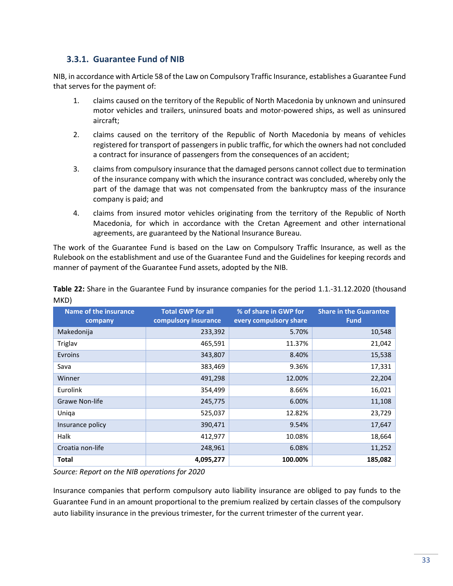### **3.3.1. Guarantee Fund of NIB**

<span id="page-32-0"></span>NIB, in accordance with Article 58 of the Law on Compulsory Traffic Insurance, establishes a Guarantee Fund that serves for the payment of:

- 1. claims caused on the territory of the Republic of North Macedonia by unknown and uninsured motor vehicles and trailers, uninsured boats and motor-powered ships, as well as uninsured aircraft;
- 2. claims caused on the territory of the Republic of North Macedonia by means of vehicles registered for transport of passengers in public traffic, for which the owners had not concluded a contract for insurance of passengers from the consequences of an accident;
- 3. claims from compulsory insurance that the damaged persons cannot collect due to termination of the insurance company with which the insurance contract was concluded, whereby only the part of the damage that was not compensated from the bankruptcy mass of the insurance company is paid; and
- 4. claims from insured motor vehicles originating from the territory of the Republic of North Macedonia, for which in accordance with the Cretan Agreement and other international agreements, are guaranteed by the National Insurance Bureau.

The work of the Guarantee Fund is based on the Law on Compulsory Traffic Insurance, as well as the Rulebook on the establishment and use of the Guarantee Fund and the Guidelines for keeping records and manner of payment of the Guarantee Fund assets, adopted by the NIB.

<span id="page-32-1"></span>

| <b>Name of the insurance</b><br>company | <b>Total GWP for all</b><br>compulsory insurance | % of share in GWP for<br>every compulsory share | <b>Share in the Guarantee</b><br><b>Fund</b> |
|-----------------------------------------|--------------------------------------------------|-------------------------------------------------|----------------------------------------------|
| Makedonija                              | 233,392                                          | 5.70%                                           | 10,548                                       |
| Triglav                                 | 465,591                                          | 11.37%                                          | 21,042                                       |
| Evroins                                 | 343,807                                          | 8.40%                                           | 15,538                                       |
| Sava                                    | 383,469                                          | 9.36%                                           | 17,331                                       |
| Winner                                  | 491,298                                          | 12.00%                                          | 22,204                                       |
| Eurolink                                | 354,499                                          | 8.66%                                           | 16,021                                       |
| <b>Grawe Non-life</b>                   | 245,775                                          | 6.00%                                           | 11,108                                       |
| Uniqa                                   | 525,037                                          | 12.82%                                          | 23,729                                       |
| Insurance policy                        | 390,471                                          | 9.54%                                           | 17,647                                       |
| <b>Halk</b>                             | 412,977                                          | 10.08%                                          | 18,664                                       |
| Croatia non-life                        | 248,961                                          | 6.08%                                           | 11,252                                       |
| <b>Total</b>                            | 4,095,277                                        | 100.00%                                         | 185,082                                      |

**Table 22:** Share in the Guarantee Fund by insurance companies for the period 1.1.-31.12.2020 (thousand MKD)

*Source: Report on the NIB operations for 2020*

Insurance companies that perform compulsory auto liability insurance are obliged to pay funds to the Guarantee Fund in an amount proportional to the premium realized by certain classes of the compulsory auto liability insurance in the previous trimester, for the current trimester of the current year.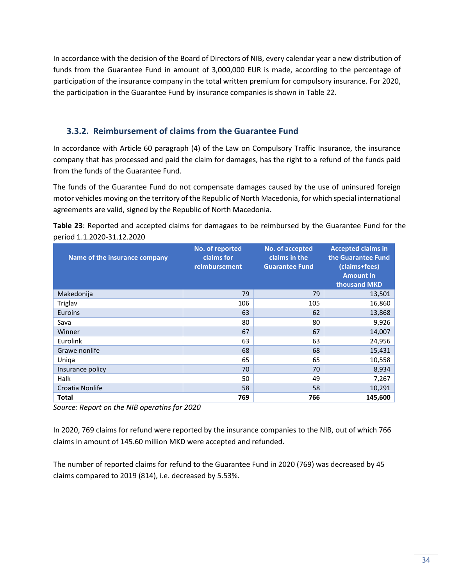In accordance with the decision of the Board of Directors of NIB, every calendar year a new distribution of funds from the Guarantee Fund in amount of 3,000,000 EUR is made, according to the percentage of participation of the insurance company in the total written premium for compulsory insurance. For 2020, the participation in the Guarantee Fund by insurance companies is shown in Table 22.

## **3.3.2. Reimbursement of claims from the Guarantee Fund**

<span id="page-33-0"></span>In accordance with Article 60 paragraph (4) of the Law on Compulsory Traffic Insurance, the insurance company that has processed and paid the claim for damages, has the right to a refund of the funds paid from the funds of the Guarantee Fund.

The funds of the Guarantee Fund do not compensate damages caused by the use of uninsured foreign motor vehicles moving on the territory of the Republic of North Macedonia, for which special international agreements are valid, signed by the Republic of North Macedonia.

<span id="page-33-1"></span>

| period 1.1.2020-31.12.2020    |                                                |                                                           |                                                                                                      |
|-------------------------------|------------------------------------------------|-----------------------------------------------------------|------------------------------------------------------------------------------------------------------|
| Name of the insurance company | No. of reported<br>claims for<br>reimbursement | No. of accepted<br>claims in the<br><b>Guarantee Fund</b> | <b>Accepted claims in</b><br>the Guarantee Fund<br>(claims+fees)<br><b>Amount in</b><br>thousand MKD |
| Makedonija                    | 79                                             | 79                                                        | 13,501                                                                                               |
| Triglav                       | 106                                            | 105                                                       | 16,860                                                                                               |
| Euroins                       | 63                                             | 62                                                        | 13,868                                                                                               |
| Sava                          | 80                                             | 80                                                        | 9,926                                                                                                |
| Winner                        | 67                                             | 67                                                        | 14,007                                                                                               |
| Eurolink                      | 63                                             | 63                                                        | 24,956                                                                                               |
| Grawe nonlife                 | 68                                             | 68                                                        | 15,431                                                                                               |
| Uniga                         | 65                                             | 65                                                        | 10,558                                                                                               |
| Insurance policy              | 70                                             | 70                                                        | 8,934                                                                                                |
| Halk                          | 50                                             | 49                                                        | 7,267                                                                                                |
| Croatia Nonlife               | 58                                             | 58                                                        | 10,291                                                                                               |

**Table 23**: Reported and accepted claims for damagaes to be reimbursed by the Guarantee Fund for the period 1.1.2020-31.12.2020

*Source: Report on the NIB operatins for 2020*

In 2020, 769 claims for refund were reported by the insurance companies to the NIB, out of which 766 claims in amount of 145.60 million MKD were accepted and refunded.

**Total 769 766 145,600**

The number of reported claims for refund to the Guarantee Fund in 2020 (769) was decreased by 45 claims compared to 2019 (814), i.e. decreased by 5.53%.